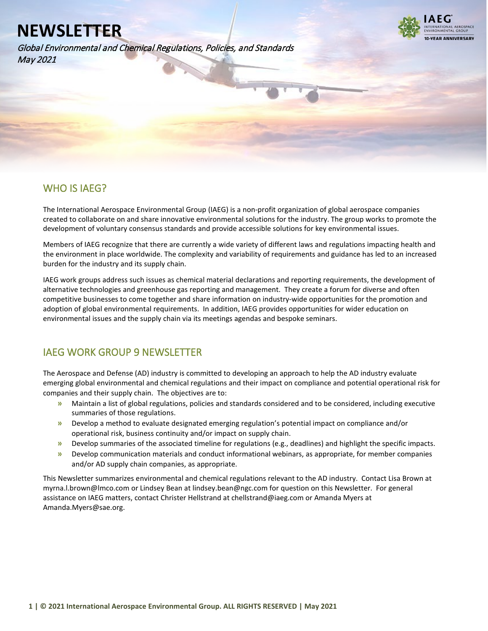Global Environmental and Chemical Regulations, Policies, and Standards May 2021



### WHO IS IAEG?

l

The International Aerospace Environmental Group (IAEG) is a non-profit organization of global aerospace companies created to collaborate on and share innovative environmental solutions for the industry. The group works to promote the development of voluntary consensus standards and provide accessible solutions for key environmental issues.

Members of IAEG recognize that there are currently a wide variety of different laws and regulations impacting health and the environment in place worldwide. The complexity and variability of requirements and guidance has led to an increased burden for the industry and its supply chain.

IAEG work groups address such issues as chemical material declarations and reporting requirements, the development of alternative technologies and greenhouse gas reporting and management. They create a forum for diverse and often competitive businesses to come together and share information on industry-wide opportunities for the promotion and adoption of global environmental requirements. In addition, IAEG provides opportunities for wider education on environmental issues and the supply chain via its meetings agendas and bespoke seminars.

### IAEG WORK GROUP 9 NEWSLETTER

The Aerospace and Defense (AD) industry is committed to developing an approach to help the AD industry evaluate emerging global environmental and chemical regulations and their impact on compliance and potential operational risk for companies and their supply chain. The objectives are to:

- **»** Maintain a list of global regulations, policies and standards considered and to be considered, including executive summaries of those regulations.
- **»** Develop a method to evaluate designated emerging regulation's potential impact on compliance and/or operational risk, business continuity and/or impact on supply chain.
- **»** Develop summaries of the associated timeline for regulations (e.g., deadlines) and highlight the specific impacts.
- **»** Develop communication materials and conduct informational webinars, as appropriate, for member companies and/or AD supply chain companies, as appropriate.

This Newsletter summarizes environmental and chemical regulations relevant to the AD industry. Contact Lisa Brown at myrna.l.brown@lmco.com or Lindsey Bean at lindsey.bean@ngc.com for question on this Newsletter. For general assistance on IAEG matters, contact Christer Hellstrand at chellstrand@iaeg.com or Amanda Myers at Amanda.Myers@sae.org.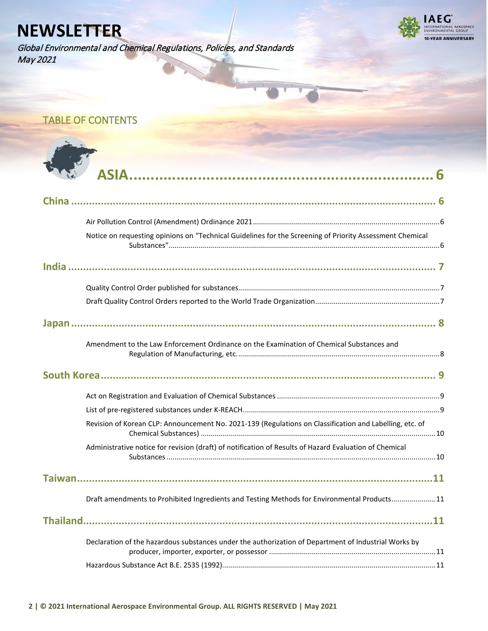Global Environmental and Chemical Regulations, Policies, and Standards May 2021



## TABLE OF CONTENTS

 $\Delta$ 

| Notice on requesting opinions on "Technical Guidelines for the Screening of Priority Assessment Chemical |
|----------------------------------------------------------------------------------------------------------|
|                                                                                                          |
|                                                                                                          |
|                                                                                                          |
|                                                                                                          |
| Amendment to the Law Enforcement Ordinance on the Examination of Chemical Substances and                 |
|                                                                                                          |
|                                                                                                          |
|                                                                                                          |
| Revision of Korean CLP: Announcement No. 2021-139 (Regulations on Classification and Labelling, etc. of  |
| Administrative notice for revision (draft) of notification of Results of Hazard Evaluation of Chemical   |
|                                                                                                          |
| Draft amendments to Prohibited Ingredients and Testing Methods for Environmental Products11              |
| .11                                                                                                      |
| Declaration of the hazardous substances under the authorization of Department of Industrial Works by     |
|                                                                                                          |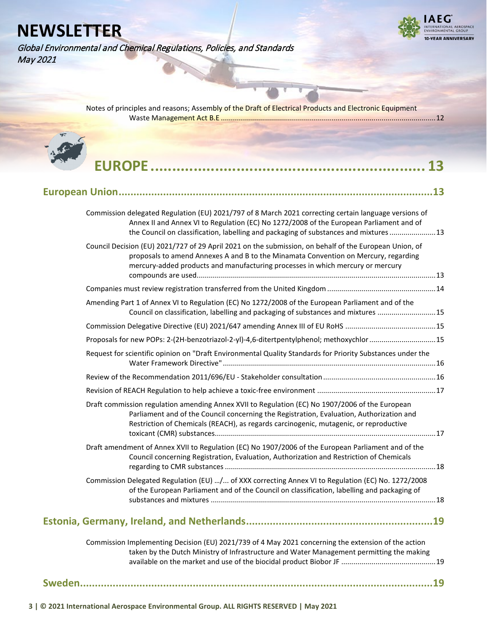**AEG** -<br>TIONAL AEROSPACE<br>MENTAL GROUP 10-YEAR ANNIVERSARY

Global Environmental and Chemical Regulations, Policies, and Standards May 2021

| Notes of principles and reasons; Assembly of the Draft of Electrical Products and Electronic Equipment |  |
|--------------------------------------------------------------------------------------------------------|--|
|                                                                                                        |  |
|                                                                                                        |  |
|                                                                                                        |  |

| Commission delegated Regulation (EU) 2021/797 of 8 March 2021 correcting certain language versions of<br>Annex II and Annex VI to Regulation (EC) No 1272/2008 of the European Parliament and of<br>the Council on classification, labelling and packaging of substances and mixtures 13 |  |
|------------------------------------------------------------------------------------------------------------------------------------------------------------------------------------------------------------------------------------------------------------------------------------------|--|
| Council Decision (EU) 2021/727 of 29 April 2021 on the submission, on behalf of the European Union, of<br>proposals to amend Annexes A and B to the Minamata Convention on Mercury, regarding<br>mercury-added products and manufacturing processes in which mercury or mercury          |  |
|                                                                                                                                                                                                                                                                                          |  |
| Amending Part 1 of Annex VI to Regulation (EC) No 1272/2008 of the European Parliament and of the<br>Council on classification, labelling and packaging of substances and mixtures  15                                                                                                   |  |
|                                                                                                                                                                                                                                                                                          |  |
| Proposals for new POPs: 2-(2H-benzotriazol-2-yl)-4,6-ditertpentylphenol; methoxychlor 15                                                                                                                                                                                                 |  |
| Request for scientific opinion on "Draft Environmental Quality Standards for Priority Substances under the                                                                                                                                                                               |  |
|                                                                                                                                                                                                                                                                                          |  |
|                                                                                                                                                                                                                                                                                          |  |
| Draft commission regulation amending Annex XVII to Regulation (EC) No 1907/2006 of the European<br>Parliament and of the Council concerning the Registration, Evaluation, Authorization and<br>Restriction of Chemicals (REACH), as regards carcinogenic, mutagenic, or reproductive     |  |
| Draft amendment of Annex XVII to Regulation (EC) No 1907/2006 of the European Parliament and of the<br>Council concerning Registration, Evaluation, Authorization and Restriction of Chemicals                                                                                           |  |
| Commission Delegated Regulation (EU) / of XXX correcting Annex VI to Regulation (EC) No. 1272/2008<br>of the European Parliament and of the Council on classification, labelling and packaging of                                                                                        |  |
|                                                                                                                                                                                                                                                                                          |  |
| Commission Implementing Decision (EU) 2021/739 of 4 May 2021 concerning the extension of the action<br>taken by the Dutch Ministry of Infrastructure and Water Management permitting the making                                                                                          |  |

**[Sweden.......................................................................................................................19](#page-18-2)**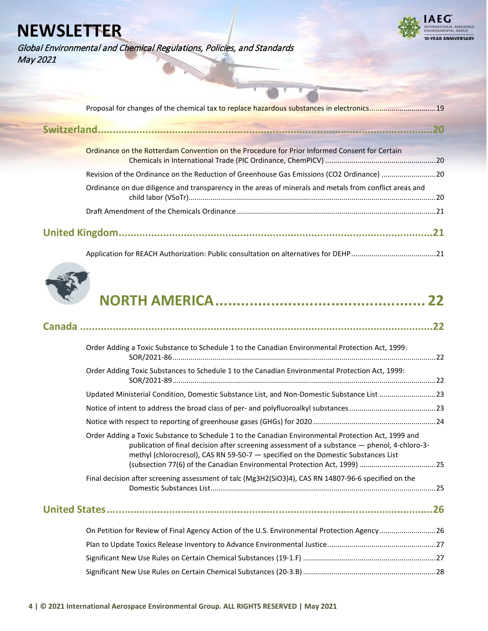Global Environmental and Chemical Regulations, Policies, and Standards May 2021



| Ordinance on the Rotterdam Convention on the Procedure for Prior Informed Consent for Certain           |               |
|---------------------------------------------------------------------------------------------------------|---------------|
| Revision of the Ordinance on the Reduction of Greenhouse Gas Emissions (CO2 Ordinance) 20               |               |
| Ordinance on due diligence and transparency in the areas of minerals and metals from conflict areas and |               |
|                                                                                                         |               |
|                                                                                                         | $\mathbf{21}$ |
|                                                                                                         |               |



|--|

| Order Adding a Toxic Substance to Schedule 1 to the Canadian Environmental Protection Act, 1999:                                                                                                                                                                                          |  |
|-------------------------------------------------------------------------------------------------------------------------------------------------------------------------------------------------------------------------------------------------------------------------------------------|--|
| Order Adding Toxic Substances to Schedule 1 to the Canadian Environmental Protection Act, 1999:                                                                                                                                                                                           |  |
| Updated Ministerial Condition, Domestic Substance List, and Non-Domestic Substance List 23                                                                                                                                                                                                |  |
|                                                                                                                                                                                                                                                                                           |  |
|                                                                                                                                                                                                                                                                                           |  |
| Order Adding a Toxic Substance to Schedule 1 to the Canadian Environmental Protection Act, 1999 and<br>publication of final decision after screening assessment of a substance - phenol, 4-chloro-3-<br>methyl (chlorocresol), CAS RN 59-50-7 - specified on the Domestic Substances List |  |
| Final decision after screening assessment of talc (Mg3H2(SiO3)4), CAS RN 14807-96-6 specified on the                                                                                                                                                                                      |  |
|                                                                                                                                                                                                                                                                                           |  |
| On Petition for Review of Final Agency Action of the U.S. Environmental Protection Agency26                                                                                                                                                                                               |  |
|                                                                                                                                                                                                                                                                                           |  |
|                                                                                                                                                                                                                                                                                           |  |
|                                                                                                                                                                                                                                                                                           |  |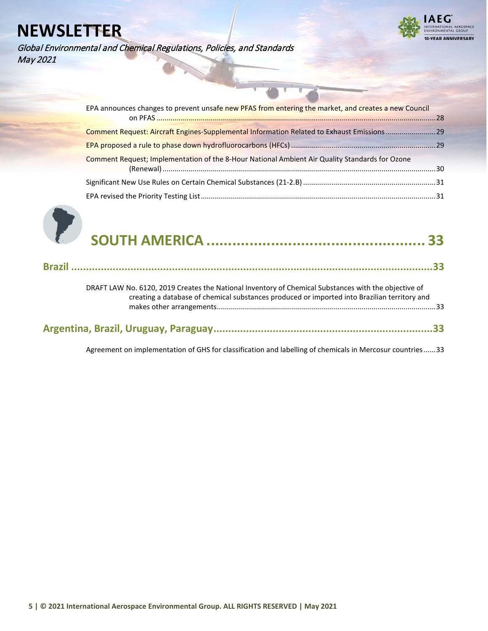Global Environmental and Chemical Regulations, Policies, and Standards May 2021



| EPA announces changes to prevent unsafe new PFAS from entering the market, and creates a new Council |  |
|------------------------------------------------------------------------------------------------------|--|
|                                                                                                      |  |
| Comment Request: Aircraft Engines-Supplemental Information Related to Exhaust Emissions29            |  |
|                                                                                                      |  |
| Comment Request; Implementation of the 8-Hour National Ambient Air Quality Standards for Ozone       |  |
|                                                                                                      |  |
|                                                                                                      |  |
|                                                                                                      |  |



|--|--|

|--|--|--|

| DRAFT LAW No. 6120, 2019 Creates the National Inventory of Chemical Substances with the objective of<br>creating a database of chemical substances produced or imported into Brazilian territory and |  |
|------------------------------------------------------------------------------------------------------------------------------------------------------------------------------------------------------|--|
|                                                                                                                                                                                                      |  |
|                                                                                                                                                                                                      |  |

[Agreement on implementation of GHS for classification and labelling of chemicals in Mercosur countries......33](#page-32-4)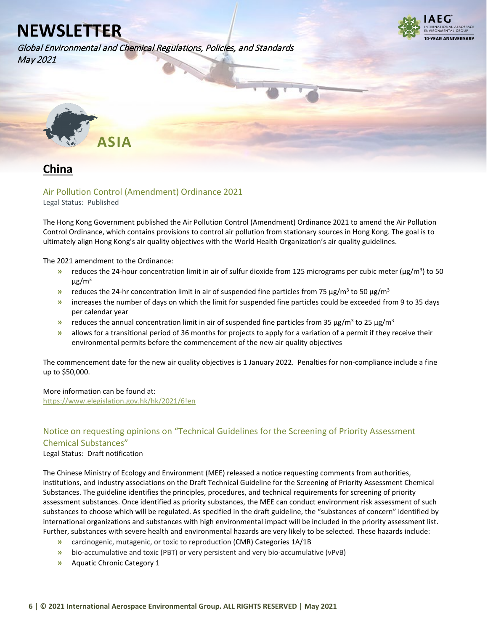Global Environmental and Chemical Regulations, Policies, and Standards May 2021

![](_page_5_Picture_2.jpeg)

<span id="page-5-0"></span>![](_page_5_Picture_3.jpeg)

<span id="page-5-1"></span>![](_page_5_Picture_4.jpeg)

### <span id="page-5-2"></span>Air Pollution Control (Amendment) Ordinance 2021

Legal Status: Published

The Hong Kong Government published the Air Pollution Control (Amendment) Ordinance 2021 to amend the Air Pollution Control Ordinance, which contains provisions to control air pollution from stationary sources in Hong Kong. The goal is to ultimately align Hong Kong's air quality objectives with the World Health Organization's air quality guidelines.

The 2021 amendment to the Ordinance:

- **»** reduces the 24-hour concentration limit in air of sulfur dioxide from 125 micrograms per cubic meter (μg/m<sup>3</sup>) to 50  $\mu$ g/m<sup>3</sup>
- **»** reduces the 24-hr concentration limit in air of suspended fine particles from 75  $\mu$ g/m<sup>3</sup> to 50  $\mu$ g/m<sup>3</sup>
- **»** increases the number of days on which the limit for suspended fine particles could be exceeded from 9 to 35 days per calendar year
- **»** reduces the annual concentration limit in air of suspended fine particles from 35 µg/m<sup>3</sup> to 25 µg/m<sup>3</sup>
- **»** allows for a transitional period of 36 months for projects to apply for a variation of a permit if they receive their environmental permits before the commencement of the new air quality objectives

The commencement date for the new air quality objectives is 1 January 2022. Penalties for non-compliance include a fine up to \$50,000.

### More information can be found at:

<https://www.elegislation.gov.hk/hk/2021/6!en>

### <span id="page-5-3"></span>Notice on requesting opinions on "Technical Guidelines for the Screening of Priority Assessment Chemical Substances"

### Legal Status: Draft notification

The Chinese Ministry of Ecology and Environment (MEE) released a notice requesting comments from authorities, institutions, and industry associations on the Draft Technical Guideline for the Screening of Priority Assessment Chemical Substances. The guideline identifies the principles, procedures, and technical requirements for screening of priority assessment substances. Once identified as priority substances, the MEE can conduct environment risk assessment of such substances to choose which will be regulated. As specified in the draft guideline, the "substances of concern" identified by international organizations and substances with high environmental impact will be included in the priority assessment list. Further, substances with severe health and environmental hazards are very likely to be selected. These hazards include:

- **»** carcinogenic, mutagenic, or toxic to reproduction (CMR) Categories 1A/1B
- **»** bio-accumulative and toxic (PBT) or very persistent and very bio-accumulative (vPvB)
- **»** Aquatic Chronic Category 1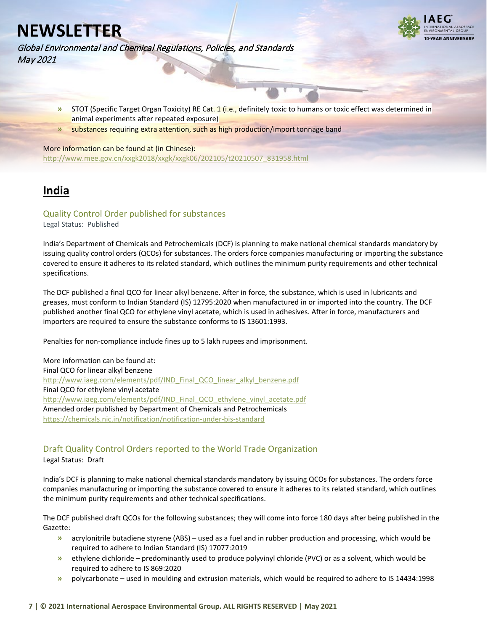![](_page_6_Picture_1.jpeg)

Global Environmental and Chemical Regulations, Policies, and Standards May 2021

- **»** STOT (Specific Target Organ Toxicity) RE Cat. 1 (i.e., definitely toxic to humans or toxic effect was determined in animal experiments after repeated exposure)
- **»** substances requiring extra attention, such as high production/import tonnage band

More information can be found at (in Chinese): [http://www.mee.gov.cn/xxgk2018/xxgk/xxgk06/202105/t20210507\\_831958.html](http://www.mee.gov.cn/xxgk2018/xxgk/xxgk06/202105/t20210507_831958.html)

## <span id="page-6-0"></span>**India**

### <span id="page-6-1"></span>Quality Control Order published for substances

Legal Status: Published

India's Department of Chemicals and Petrochemicals (DCF) is planning to make national chemical standards mandatory by issuing quality control orders (QCOs) for substances. The orders force companies manufacturing or importing the substance covered to ensure it adheres to its related standard, which outlines the minimum purity requirements and other technical specifications.

The DCF published a final QCO for linear alkyl benzene. After in force, the substance, which is used in lubricants and greases, must conform to Indian Standard (IS) 12795:2020 when manufactured in or imported into the country. The DCF published another final QCO for ethylene vinyl acetate, which is used in adhesives. After in force, manufacturers and importers are required to ensure the substance conforms to IS 13601:1993.

Penalties for non-compliance include fines up to 5 lakh rupees and imprisonment.

More information can be found at: Final QCO for linear alkyl benzene [http://www.iaeg.com/elements/pdf/IND\\_Final\\_QCO\\_linear\\_alkyl\\_benzene.pdf](http://www.iaeg.com/elements/pdf/IND_Final_QCO_linear_alkyl_benzene.pdf) Final QCO for ethylene vinyl acetate [http://www.iaeg.com/elements/pdf/IND\\_Final\\_QCO\\_ethylene\\_vinyl\\_acetate.pdf](http://www.iaeg.com/elements/pdf/IND_Final_QCO_ethylene_vinyl_acetate.pdf) Amended order published by Department of Chemicals and Petrochemicals <https://chemicals.nic.in/notification/notification-under-bis-standard>

### <span id="page-6-2"></span>Draft Quality Control Orders reported to the World Trade Organization

Legal Status: Draft

India's DCF is planning to make national chemical standards mandatory by issuing QCOs for substances. The orders force companies manufacturing or importing the substance covered to ensure it adheres to its related standard, which outlines the minimum purity requirements and other technical specifications.

The DCF published draft QCOs for the following substances; they will come into force 180 days after being published in the Gazette:

- **»** acrylonitrile butadiene styrene (ABS) used as a fuel and in rubber production and processing, which would be required to adhere to Indian Standard (IS) 17077:2019
- **»** ethylene dichloride predominantly used to produce polyvinyl chloride (PVC) or as a solvent, which would be required to adhere to IS 869:2020
- **»** polycarbonate used in moulding and extrusion materials, which would be required to adhere to IS 14434:1998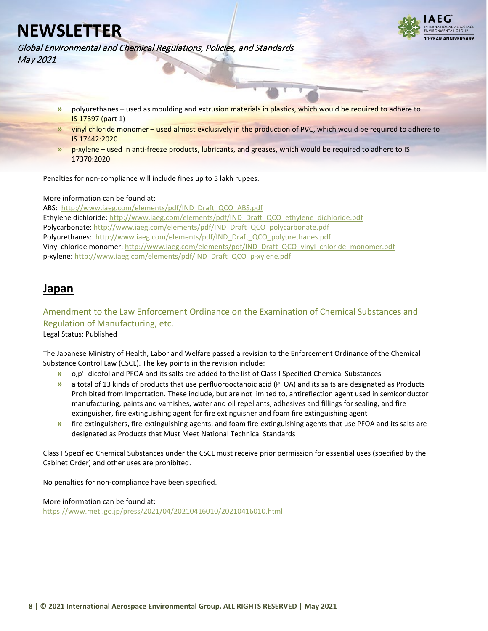![](_page_7_Picture_1.jpeg)

Global Environmental and Chemical Regulations, Policies, and Standards May 2021

- **»** polyurethanes used as moulding and extrusion materials in plastics, which would be required to adhere to IS 17397 (part 1)
- **»** vinyl chloride monomer used almost exclusively in the production of PVC, which would be required to adhere to IS 17442:2020
- **»** p-xylene used in anti-freeze products, lubricants, and greases, which would be required to adhere to IS 17370:2020

Penalties for non-compliance will include fines up to 5 lakh rupees.

### More information can be found at:

ABS: [http://www.iaeg.com/elements/pdf/IND\\_Draft\\_QCO\\_ABS.pdf](http://www.iaeg.com/elements/pdf/IND_Draft_QCO_ABS.pdf) Ethylene dichloride[: http://www.iaeg.com/elements/pdf/IND\\_Draft\\_QCO\\_ethylene\\_dichloride.pdf](http://www.iaeg.com/elements/pdf/IND_Draft_QCO_ethylene_dichloride.pdf) Polycarbonate[: http://www.iaeg.com/elements/pdf/IND\\_Draft\\_QCO\\_polycarbonate.pdf](http://www.iaeg.com/elements/pdf/IND_Draft_QCO_polycarbonate.pdf) Polyurethanes: [http://www.iaeg.com/elements/pdf/IND\\_Draft\\_QCO\\_polyurethanes.pdf](http://www.iaeg.com/elements/pdf/IND_Draft_QCO_polyurethanes.pdf) Vinyl chloride monomer: [http://www.iaeg.com/elements/pdf/IND\\_Draft\\_QCO\\_vinyl\\_chloride\\_monomer.pdf](http://www.iaeg.com/elements/pdf/IND_Draft_QCO_vinyl_chloride_monomer.pdf) p-xylene[: http://www.iaeg.com/elements/pdf/IND\\_Draft\\_QCO\\_p-xylene.pdf](http://www.iaeg.com/elements/pdf/IND_Draft_QCO_p-xylene.pdf)

### <span id="page-7-0"></span>**Japan**

### <span id="page-7-1"></span>Amendment to the Law Enforcement Ordinance on the Examination of Chemical Substances and Regulation of Manufacturing, etc.

Legal Status: Published

The Japanese Ministry of Health, Labor and Welfare passed a revision to the Enforcement Ordinance of the Chemical Substance Control Law (CSCL). The key points in the revision include:

- **»** o,p'- dicofol and PFOA and its salts are added to the list of Class I Specified Chemical Substances
- **»** a total of 13 kinds of products that use perfluorooctanoic acid (PFOA) and its salts are designated as Products Prohibited from Importation. These include, but are not limited to, antireflection agent used in semiconductor manufacturing, paints and varnishes, water and oil repellants, adhesives and fillings for sealing, and fire extinguisher, fire extinguishing agent for fire extinguisher and foam fire extinguishing agent
- **»** fire extinguishers, fire-extinguishing agents, and foam fire-extinguishing agents that use PFOA and its salts are designated as Products that Must Meet National Technical Standards

Class I Specified Chemical Substances under the CSCL must receive prior permission for essential uses (specified by the Cabinet Order) and other uses are prohibited.

No penalties for non-compliance have been specified.

More information can be found at: <https://www.meti.go.jp/press/2021/04/20210416010/20210416010.html>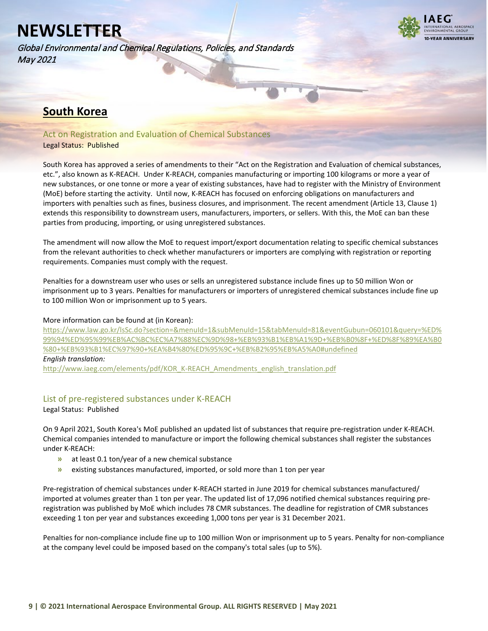Global Environmental and Chemical Regulations, Policies, and Standards May 2021

![](_page_8_Picture_2.jpeg)

### <span id="page-8-0"></span>**South Korea**

<span id="page-8-1"></span>Act on Registration and Evaluation of Chemical Substances

### Legal Status: Published

South Korea has approved a series of amendments to their "Act on the Registration and Evaluation of chemical substances, etc.", also known as K-REACH. Under K-REACH, companies manufacturing or importing 100 kilograms or more a year of new substances, or one tonne or more a year of existing substances, have had to register with the Ministry of Environment (MoE) before starting the activity. Until now, K-REACH has focused on enforcing obligations on manufacturers and importers with penalties such as fines, business closures, and imprisonment. The recent amendment (Article 13, Clause 1) extends this responsibility to downstream users, manufacturers, importers, or sellers. With this, the MoE can ban these parties from producing, importing, or using unregistered substances.

The amendment will now allow the MoE to request import/export documentation relating to specific chemical substances from the relevant authorities to check whether manufacturers or importers are complying with registration or reporting requirements. Companies must comply with the request.

Penalties for a downstream user who uses or sells an unregistered substance include fines up to 50 million Won or imprisonment up to 3 years. Penalties for manufacturers or importers of unregistered chemical substances include fine up to 100 million Won or imprisonment up to 5 years.

### More information can be found at (in Korean):

[https://www.law.go.kr/lsSc.do?section=&menuId=1&subMenuId=15&tabMenuId=81&eventGubun=060101&query=%ED%](https://www.law.go.kr/lsSc.do?section=&menuId=1&subMenuId=15&tabMenuId=81&eventGubun=060101&query=%ED%99%94%ED%95%99%EB%AC%BC%EC%A7%88%EC%9D%98+%EB%93%B1%EB%A1%9D+%EB%B0%8F+%ED%8F%89%EA%B0%80+%EB%93%B1%EC%97%90+%EA%B4%80%ED%95%9C+%EB%B2%95%EB%A5%A0%23undefined%20) [99%94%ED%95%99%EB%AC%BC%EC%A7%88%EC%9D%98+%EB%93%B1%EB%A1%9D+%EB%B0%8F+%ED%8F%89%EA%B0](https://www.law.go.kr/lsSc.do?section=&menuId=1&subMenuId=15&tabMenuId=81&eventGubun=060101&query=%ED%99%94%ED%95%99%EB%AC%BC%EC%A7%88%EC%9D%98+%EB%93%B1%EB%A1%9D+%EB%B0%8F+%ED%8F%89%EA%B0%80+%EB%93%B1%EC%97%90+%EA%B4%80%ED%95%9C+%EB%B2%95%EB%A5%A0%23undefined%20) [%80+%EB%93%B1%EC%97%90+%EA%B4%80%ED%95%9C+%EB%B2%95%EB%A5%A0#undefined](https://www.law.go.kr/lsSc.do?section=&menuId=1&subMenuId=15&tabMenuId=81&eventGubun=060101&query=%ED%99%94%ED%95%99%EB%AC%BC%EC%A7%88%EC%9D%98+%EB%93%B1%EB%A1%9D+%EB%B0%8F+%ED%8F%89%EA%B0%80+%EB%93%B1%EC%97%90+%EA%B4%80%ED%95%9C+%EB%B2%95%EB%A5%A0%23undefined%20) *English translation:*

[http://www.iaeg.com/elements/pdf/KOR\\_K-REACH\\_Amendments\\_english\\_translation.pdf](http://www.iaeg.com/elements/pdf/KOR_K-REACH_Amendments_english_translation.pdf)

### <span id="page-8-2"></span>List of pre-registered substances under K-REACH

Legal Status: Published

On 9 April 2021, South Korea's MoE published an updated list of substances that require pre-registration under K-REACH. Chemical companies intended to manufacture or import the following chemical substances shall register the substances under K-REACH:

- **»** at least 0.1 ton/year of a new chemical substance
- **»** existing substances manufactured, imported, or sold more than 1 ton per year

Pre-registration of chemical substances under K-REACH started in June 2019 for chemical substances manufactured/ imported at volumes greater than 1 ton per year. The updated list of 17,096 notified chemical substances requiring preregistration was published by MoE which includes 78 CMR substances. The deadline for registration of CMR substances exceeding 1 ton per year and substances exceeding 1,000 tons per year is 31 December 2021.

Penalties for non-compliance include fine up to 100 million Won or imprisonment up to 5 years. Penalty for non-compliance at the company level could be imposed based on the company's total sales (up to 5%).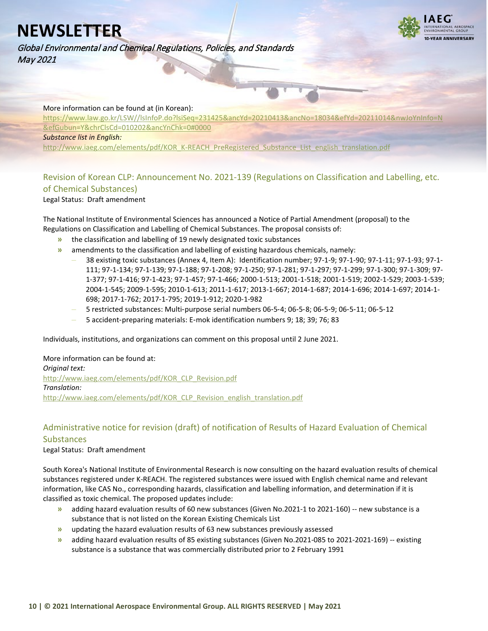![](_page_9_Picture_1.jpeg)

Global Environmental and Chemical Regulations, Policies, and Standards May 2021

### More information can be found at (in Korean):

[https://www.law.go.kr/LSW//lsInfoP.do?lsiSeq=231425&ancYd=20210413&ancNo=18034&efYd=20211014&nwJoYnInfo=N](https://www.law.go.kr/LSW/lsInfoP.do?lsiSeq=231425&ancYd=20210413&ancNo=18034&efYd=20211014&nwJoYnInfo=N&efGubun=Y&chrClsCd=010202&ancYnChk=0#0000) [&efGubun=Y&chrClsCd=010202&ancYnChk=0#0000](https://www.law.go.kr/LSW/lsInfoP.do?lsiSeq=231425&ancYd=20210413&ancNo=18034&efYd=20211014&nwJoYnInfo=N&efGubun=Y&chrClsCd=010202&ancYnChk=0#0000)

#### *Substance list in English:*

[http://www.iaeg.com/elements/pdf/KOR\\_K-REACH\\_PreRegistered\\_Substance\\_List\\_english\\_translation.pdf](http://www.iaeg.com/elements/pdf/KOR_K-REACH_PreRegistered_Substance_List_english_translation.pdf)

### <span id="page-9-0"></span>Revision of Korean CLP: Announcement No. 2021-139 (Regulations on Classification and Labelling, etc. of Chemical Substances)

Legal Status: Draft amendment

The National Institute of Environmental Sciences has announced a Notice of Partial Amendment (proposal) to the Regulations on Classification and Labelling of Chemical Substances. The proposal consists of:

- **»** the classification and labelling of 19 newly designated toxic substances
- **»** amendments to the classification and labelling of existing hazardous chemicals, namely:
	- **–** 38 existing toxic substances (Annex 4, Item A): Identification number; 97-1-9; 97-1-90; 97-1-11; 97-1-93; 97-1- 111; 97-1-134; 97-1-139; 97-1-188; 97-1-208; 97-1-250; 97-1-281; 97-1-297; 97-1-299; 97-1-300; 97-1-309; 97- 1-377; 97-1-416; 97-1-423; 97-1-457; 97-1-466; 2000-1-513; 2001-1-518; 2001-1-519; 2002-1-529; 2003-1-539; 2004-1-545; 2009-1-595; 2010-1-613; 2011-1-617; 2013-1-667; 2014-1-687; 2014-1-696; 2014-1-697; 2014-1- 698; 2017-1-762; 2017-1-795; 2019-1-912; 2020-1-982
	- **–** 5 restricted substances: Multi‑purpose serial numbers 06‑5‑4; 06‑5‑8; 06‑5‑9; 06‑5‑11; 06‑5‑12
	- **–** 5 accident‑preparing materials: E‑mok identification numbers 9; 18; 39; 76; 83

Individuals, institutions, and organizations can comment on this proposal until 2 June 2021.

### More information can be found at: *Original text:* [http://www.iaeg.com/elements/pdf/KOR\\_CLP\\_Revision.pdf](http://www.iaeg.com/elements/pdf/KOR_CLP_Revision.pdf) *Translation:* [http://www.iaeg.com/elements/pdf/KOR\\_CLP\\_Revision\\_english\\_translation.pdf](http://www.iaeg.com/elements/pdf/KOR_CLP_Revision_english_translation.pdf)

### <span id="page-9-1"></span>Administrative notice for revision (draft) of notification of Results of Hazard Evaluation of Chemical **Substances**

### Legal Status: Draft amendment

South Korea's National Institute of Environmental Research is now consulting on the hazard evaluation results of chemical substances registered under K-REACH. The registered substances were issued with English chemical name and relevant information, like CAS No., corresponding hazards, classification and labelling information, and determination if it is classified as toxic chemical. The proposed updates include:

- **»** adding hazard evaluation results of 60 new substances (Given No.2021-1 to 2021-160) -- new substance is a substance that is not listed on the Korean Existing Chemicals List
- **»** updating the hazard evaluation results of 63 new substances previously assessed
- **»** adding hazard evaluation results of 85 existing substances (Given No.2021-085 to 2021-2021-169) -- existing substance is a substance that was commercially distributed prior to 2 February 1991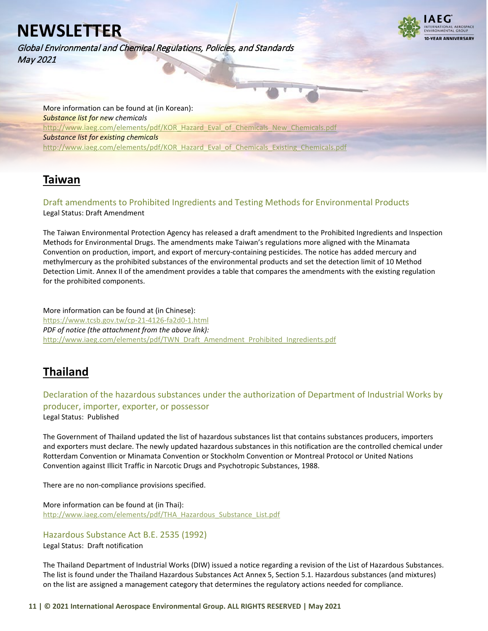Global Environmental and Chemical Regulations, Policies, and Standards May 2021

![](_page_10_Picture_2.jpeg)

More information can be found at (in Korean): *Substance list for new chemicals* [http://www.iaeg.com/elements/pdf/KOR\\_Hazard\\_Eval\\_of\\_Chemicals\\_New\\_Chemicals.pdf](http://www.iaeg.com/elements/pdf/KOR_Hazard_Eval_of_Chemicals_New_Chemicals.pdf) *Substance list for existing chemicals* [http://www.iaeg.com/elements/pdf/KOR\\_Hazard\\_Eval\\_of\\_Chemicals\\_Existing\\_Chemicals.pdf](http://www.iaeg.com/elements/pdf/KOR_Hazard_Eval_of_Chemicals_Existing_Chemicals.pdf)

## <span id="page-10-0"></span>**Taiwan**

<span id="page-10-1"></span>Draft amendments to Prohibited Ingredients and Testing Methods for Environmental Products Legal Status: Draft Amendment

The Taiwan Environmental Protection Agency has released a draft amendment to the Prohibited Ingredients and Inspection Methods for Environmental Drugs. The amendments make Taiwan's regulations more aligned with the Minamata Convention on production, import, and export of mercury-containing pesticides. The notice has added mercury and methylmercury as the prohibited substances of the environmental products and set the detection limit of 10 Method Detection Limit. Annex II of the amendment provides a table that compares the amendments with the existing regulation for the prohibited components.

More information can be found at (in Chinese): <https://www.tcsb.gov.tw/cp-21-4126-fa2d0-1.html> *PDF of notice (the attachment from the above link):* [http://www.iaeg.com/elements/pdf/TWN\\_Draft\\_Amendment\\_Prohibited\\_Ingredients.pdf](http://www.iaeg.com/elements/pdf/TWN_Draft_Amendment_Prohibited_Ingredients.pdf)

## <span id="page-10-2"></span>**Thailand**

<span id="page-10-3"></span>Declaration of the hazardous substances under the authorization of Department of Industrial Works by producer, importer, exporter, or possessor Legal Status: Published

The Government of Thailand updated the list of hazardous substances list that contains substances producers, importers and exporters must declare. The newly updated hazardous substances in this notification are the controlled chemical under Rotterdam Convention or Minamata Convention or Stockholm Convention or Montreal Protocol or United Nations Convention against Illicit Traffic in Narcotic Drugs and Psychotropic Substances, 1988.

There are no non-compliance provisions specified.

More information can be found at (in Thai): [http://www.iaeg.com/elements/pdf/THA\\_Hazardous\\_Substance\\_List.pdf](http://www.iaeg.com/elements/pdf/THA_Hazardous_Substance_List.pdf)

### <span id="page-10-4"></span>Hazardous Substance Act B.E. 2535 (1992)

Legal Status: Draft notification

The Thailand Department of Industrial Works (DIW) issued a notice regarding a revision of the List of Hazardous Substances. The list is found under the Thailand Hazardous Substances Act Annex 5, Section 5.1. Hazardous substances (and mixtures) on the list are assigned a management category that determines the regulatory actions needed for compliance.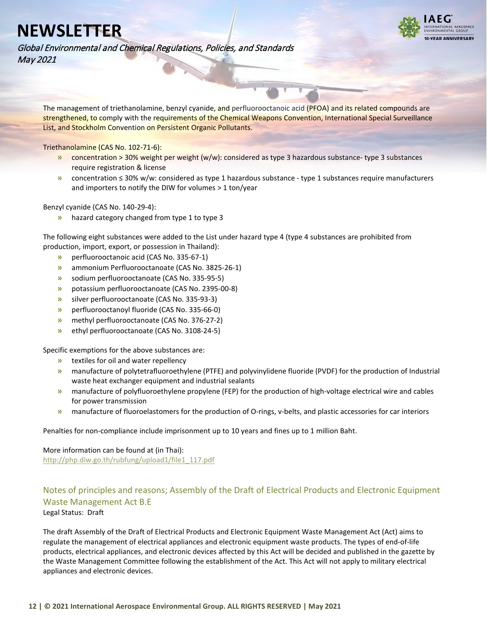![](_page_11_Picture_1.jpeg)

Global Environmental and Chemical Regulations, Policies, and Standards May 2021

The management of triethanolamine, benzyl cyanide, and perfluorooctanoic acid (PFOA) and its related compounds are strengthened, to comply with the requirements of the Chemical Weapons Convention, International Special Surveillance List, and Stockholm Convention on Persistent Organic Pollutants.

Triethanolamine (CAS No. 102-71-6):

- **»** concentration > 30% weight per weight (w/w): considered as type 3 hazardous substance- type 3 substances require registration & license
- **»** concentration ≤ 30% w/w: considered as type 1 hazardous substance type 1 substances require manufacturers and importers to notify the DIW for volumes > 1 ton/year

Benzyl cyanide (CAS No. 140-29-4):

**»** hazard category changed from type 1 to type 3

The following eight substances were added to the List under hazard type 4 (type 4 substances are prohibited from production, import, export, or possession in Thailand):

- **»** perfluorooctanoic acid (CAS No. 335-67-1)
- **»** ammonium Perfluorooctanoate (CAS No. 3825-26-1)
- **»** sodium perfluorooctanoate (CAS No. 335-95-5)
- **»** potassium perfluorooctanoate (CAS No. 2395-00-8)
- **»** silver perfluorooctanoate (CAS No. 335-93-3)
- **»** perfluorooctanoyl fluoride (CAS No. 335-66-0)
- **»** methyl perfluorooctanoate (CAS No. 376-27-2)
- **»** ethyl perfluorooctanoate (CAS No. 3108-24-5)

Specific exemptions for the above substances are:

- **»** textiles for oil and water repellency
- **»** manufacture of polytetrafluoroethylene (PTFE) and polyvinylidene fluoride (PVDF) for the production of Industrial waste heat exchanger equipment and industrial sealants
- **»** manufacture of polyfluoroethylene propylene (FEP) for the production of high-voltage electrical wire and cables for power transmission
- **»** manufacture of fluoroelastomers for the production of O-rings, v-belts, and plastic accessories for car interiors

Penalties for non-compliance include imprisonment up to 10 years and fines up to 1 million Baht.

More information can be found at (in Thai): [http://php.diw.go.th/rubfung/upload1/file1\\_117.pdf](http://php.diw.go.th/rubfung/upload1/file1_117.pdf)

### <span id="page-11-0"></span>Notes of principles and reasons; Assembly of the Draft of Electrical Products and Electronic Equipment Waste Management Act B.E

Legal Status: Draft

The draft Assembly of the Draft of Electrical Products and Electronic Equipment Waste Management Act (Act) aims to regulate the management of electrical appliances and electronic equipment waste products. The types of end-of-life products, electrical appliances, and electronic devices affected by this Act will be decided and published in the gazette by the Waste Management Committee following the establishment of the Act. This Act will not apply to military electrical appliances and electronic devices.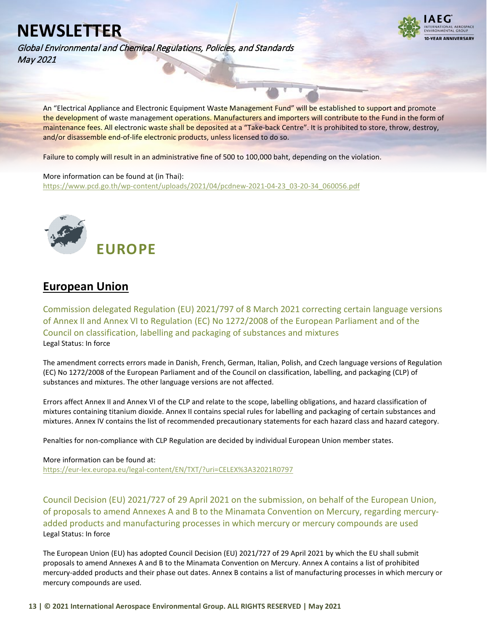Global Environmental and Chemical Regulations, Policies, and Standards May 2021

![](_page_12_Picture_2.jpeg)

An "Electrical Appliance and Electronic Equipment Waste Management Fund" will be established to support and promote the development of waste management operations. Manufacturers and importers will contribute to the Fund in the form of maintenance fees. All electronic waste shall be deposited at a "Take-back Centre". It is prohibited to store, throw, destroy, and/or disassemble end-of-life electronic products, unless licensed to do so.

Failure to comply will result in an administrative fine of 500 to 100,000 baht, depending on the violation.

#### More information can be found at (in Thai):

[https://www.pcd.go.th/wp-content/uploads/2021/04/pcdnew-2021-04-23\\_03-20-34\\_060056.pdf](https://www.pcd.go.th/wp-content/uploads/2021/04/pcdnew-2021-04-23_03-20-34_060056.pdf)

<span id="page-12-0"></span>![](_page_12_Picture_7.jpeg)

## <span id="page-12-1"></span>**European Union**

<span id="page-12-2"></span>Commission delegated Regulation (EU) 2021/797 of 8 March 2021 correcting certain language versions of Annex II and Annex VI to Regulation (EC) No 1272/2008 of the European Parliament and of the Council on classification, labelling and packaging of substances and mixtures Legal Status: In force

The amendment corrects errors made in Danish, French, German, Italian, Polish, and Czech language versions of Regulation (EC) No 1272/2008 of the European Parliament and of the Council on classification, labelling, and packaging (CLP) of substances and mixtures. The other language versions are not affected.

Errors affect Annex II and Annex VI of the CLP and relate to the scope, labelling obligations, and hazard classification of mixtures containing titanium dioxide. Annex II contains special rules for labelling and packaging of certain substances and mixtures. Annex IV contains the list of recommended precautionary statements for each hazard class and hazard category.

Penalties for non-compliance with CLP Regulation are decided by individual European Union member states.

More information can be found at: <https://eur-lex.europa.eu/legal-content/EN/TXT/?uri=CELEX%3A32021R0797>

<span id="page-12-3"></span>Council Decision (EU) 2021/727 of 29 April 2021 on the submission, on behalf of the European Union, of proposals to amend Annexes A and B to the Minamata Convention on Mercury, regarding mercuryadded products and manufacturing processes in which mercury or mercury compounds are used Legal Status: In force

The European Union (EU) has adopted Council Decision (EU) 2021/727 of 29 April 2021 by which the EU shall submit proposals to amend Annexes A and B to the Minamata Convention on Mercury. Annex A contains a list of prohibited mercury-added products and their phase out dates. Annex B contains a list of manufacturing processes in which mercury or mercury compounds are used.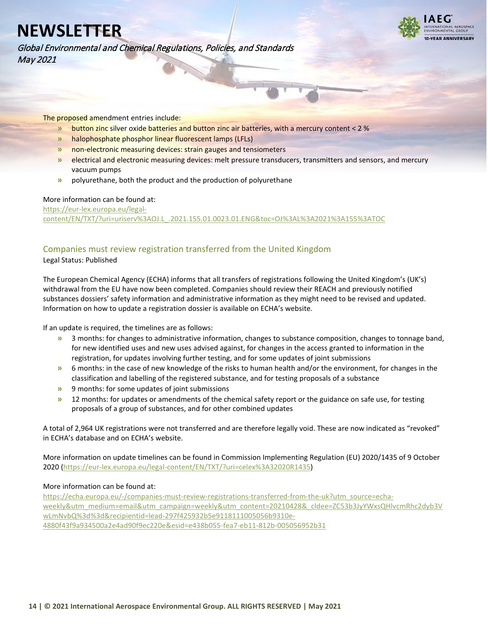Global Environmental and Chemical Regulations, Policies, and Standards May 2021

![](_page_13_Picture_2.jpeg)

The proposed amendment entries include:

- **»** button zinc silver oxide batteries and button zinc air batteries, with a mercury content < 2 %
- **»** halophosphate phosphor linear fluorescent lamps (LFLs)
- **»** non-electronic measuring devices: strain gauges and tensiometers
- **»** electrical and electronic measuring devices: melt pressure transducers, transmitters and sensors, and mercury vacuum pumps
- **»** polyurethane, both the product and the production of polyurethane

#### More information can be found at:

[https://eur-lex.europa.eu/legal](https://eur-lex.europa.eu/legal-content/EN/TXT/?uri=uriserv%3AOJ.L_.2021.155.01.0023.01.ENG&toc=OJ%3AL%3A2021%3A155%3ATOC)[content/EN/TXT/?uri=uriserv%3AOJ.L\\_.2021.155.01.0023.01.ENG&toc=OJ%3AL%3A2021%3A155%3ATOC](https://eur-lex.europa.eu/legal-content/EN/TXT/?uri=uriserv%3AOJ.L_.2021.155.01.0023.01.ENG&toc=OJ%3AL%3A2021%3A155%3ATOC)

### <span id="page-13-0"></span>Companies must review registration transferred from the United Kingdom

Legal Status: Published

The European Chemical Agency (ECHA) informs that all transfers of registrations following the United Kingdom's (UK's) withdrawal from the EU have now been completed. Companies should review their REACH and previously notified substances dossiers' safety information and administrative information as they might need to be revised and updated. Information on how to update a registration dossier is available on ECHA's website.

If an update is required, the timelines are as follows:

- **»** 3 months: for changes to administrative information, changes to substance composition, changes to tonnage band, for new identified uses and new uses advised against, for changes in the access granted to information in the registration, for updates involving further testing, and for some updates of joint submissions
- **»** 6 months: in the case of new knowledge of the risks to human health and/or the environment, for changes in the classification and labelling of the registered substance, and for testing proposals of a substance
- **»** 9 months: for some updates of joint submissions
- **»** 12 months: for updates or amendments of the chemical safety report or the guidance on safe use, for testing proposals of a group of substances, and for other combined updates

A total of 2,964 UK registrations were not transferred and are therefore legally void. These are now indicated as "revoked" in ECHA's database and on ECHA's website.

More information on update timelines can be found in Commission Implementing Regulation (EU) 2020/1435 of 9 October 2020 [\(https://eur-lex.europa.eu/legal-content/EN/TXT/?uri=celex%3A32020R1435\)](https://eur-lex.europa.eu/legal-content/EN/TXT/?uri=celex%3A32020R1435)

### More information can be found at:

[https://echa.europa.eu/-/companies-must-review-registrations-transferred-from-the-uk?utm\\_source=echa](https://echa.europa.eu/-/companies-must-review-registrations-transferred-from-the-uk?utm_source=echa-weekly&utm_medium=email&utm_campaign=weekly&utm_content=20210428&_cldee=ZC53b3JyYWxsQHlvcmRhc2dyb3VwLmNvbQ%3d%3d&recipientid=lead-297f425932b5e9118111005056b9310e-4880f43f9a934500a2e4ad90f9ec220e&esid=e438b055-fea7-eb11-812b-005056952b31)[weekly&utm\\_medium=email&utm\\_campaign=weekly&utm\\_content=20210428&\\_cldee=ZC53b3JyYWxsQHlvcmRhc2dyb3V](https://echa.europa.eu/-/companies-must-review-registrations-transferred-from-the-uk?utm_source=echa-weekly&utm_medium=email&utm_campaign=weekly&utm_content=20210428&_cldee=ZC53b3JyYWxsQHlvcmRhc2dyb3VwLmNvbQ%3d%3d&recipientid=lead-297f425932b5e9118111005056b9310e-4880f43f9a934500a2e4ad90f9ec220e&esid=e438b055-fea7-eb11-812b-005056952b31) [wLmNvbQ%3d%3d&recipientid=lead-297f425932b5e9118111005056b9310e-](https://echa.europa.eu/-/companies-must-review-registrations-transferred-from-the-uk?utm_source=echa-weekly&utm_medium=email&utm_campaign=weekly&utm_content=20210428&_cldee=ZC53b3JyYWxsQHlvcmRhc2dyb3VwLmNvbQ%3d%3d&recipientid=lead-297f425932b5e9118111005056b9310e-4880f43f9a934500a2e4ad90f9ec220e&esid=e438b055-fea7-eb11-812b-005056952b31)[4880f43f9a934500a2e4ad90f9ec220e&esid=e438b055-fea7-eb11-812b-005056952b31](https://echa.europa.eu/-/companies-must-review-registrations-transferred-from-the-uk?utm_source=echa-weekly&utm_medium=email&utm_campaign=weekly&utm_content=20210428&_cldee=ZC53b3JyYWxsQHlvcmRhc2dyb3VwLmNvbQ%3d%3d&recipientid=lead-297f425932b5e9118111005056b9310e-4880f43f9a934500a2e4ad90f9ec220e&esid=e438b055-fea7-eb11-812b-005056952b31)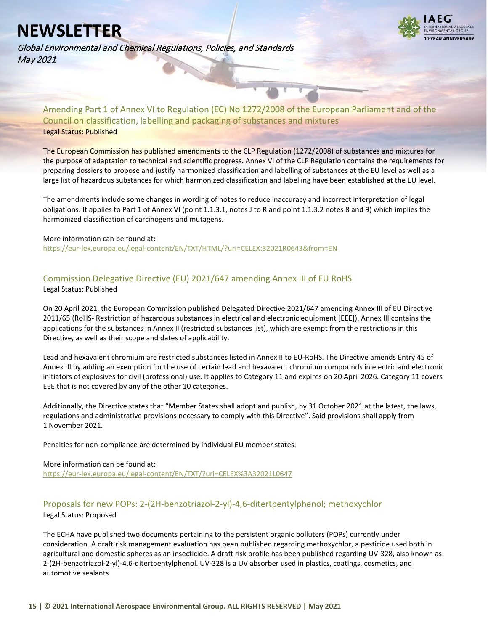Global Environmental and Chemical Regulations, Policies, and Standards May 2021

![](_page_14_Picture_2.jpeg)

<span id="page-14-0"></span>Amending Part 1 of Annex VI to Regulation (EC) No 1272/2008 of the European Parliament and of the Council on classification, labelling and packaging of substances and mixtures Legal Status: Published

The European Commission has published amendments to the CLP Regulation (1272/2008) of substances and mixtures for the purpose of adaptation to technical and scientific progress. Annex VI of the CLP Regulation contains the requirements for preparing dossiers to propose and justify harmonized classification and labelling of substances at the EU level as well as a large list of hazardous substances for which harmonized classification and labelling have been established at the EU level.

The amendments include some changes in wording of notes to reduce inaccuracy and incorrect interpretation of legal obligations. It applies to Part 1 of Annex VI (point 1.1.3.1, notes J to R and point 1.1.3.2 notes 8 and 9) which implies the harmonized classification of carcinogens and mutagens.

#### More information can be found at:

<https://eur-lex.europa.eu/legal-content/EN/TXT/HTML/?uri=CELEX:32021R0643&from=EN>

### <span id="page-14-1"></span>Commission Delegative Directive (EU) 2021/647 amending Annex III of EU RoHS Legal Status: Published

On 20 April 2021, the European Commission published Delegated Directive 2021/647 amending Annex III of EU Directive 2011/65 (RoHS- Restriction of hazardous substances in electrical and electronic equipment [EEE]). Annex III contains the applications for the substances in Annex II (restricted substances list), which are exempt from the restrictions in this Directive, as well as their scope and dates of applicability.

Lead and hexavalent chromium are restricted substances listed in Annex II to EU-RoHS. The Directive amends Entry 45 of Annex III by adding an exemption for the use of certain lead and hexavalent chromium compounds in electric and electronic initiators of explosives for civil (professional) use. It applies to Category 11 and expires on 20 April 2026. Category 11 covers EEE that is not covered by any of the other 10 categories.

Additionally, the Directive states that "Member States shall adopt and publish, by 31 October 2021 at the latest, the laws, regulations and administrative provisions necessary to comply with this Directive". Said provisions shall apply from 1 November 2021.

Penalties for non-compliance are determined by individual EU member states.

### More information can be found at:

<https://eur-lex.europa.eu/legal-content/EN/TXT/?uri=CELEX%3A32021L0647>

### <span id="page-14-2"></span>Proposals for new POPs: 2-(2H-benzotriazol-2-yl)-4,6-ditertpentylphenol; methoxychlor Legal Status: Proposed

The ECHA have published two documents pertaining to the persistent organic polluters (POPs) currently under consideration. A draft risk management evaluation has been published regarding methoxychlor, a pesticide used both in agricultural and domestic spheres as an insecticide. A draft risk profile has been published regarding UV-328, also known as 2-(2H-benzotriazol-2-yl)-4,6-ditertpentylphenol. UV-328 is a UV absorber used in plastics, coatings, cosmetics, and automotive sealants.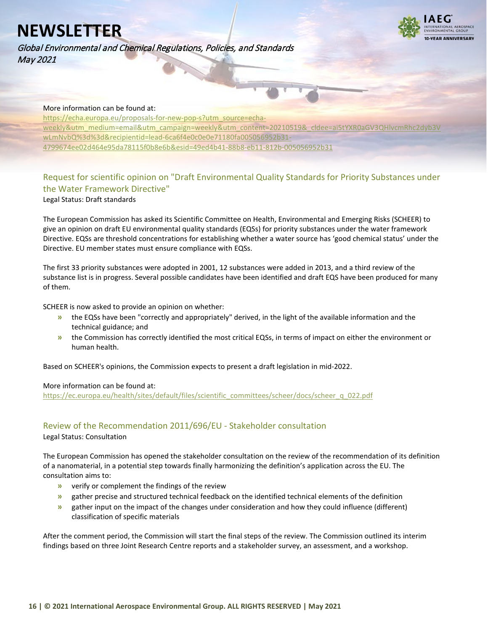**VEAR ANNIVERSARY** 

Global Environmental and Chemical Regulations, Policies, and Standards May 2021

### More information can be found at:

[https://echa.europa.eu/proposals-for-new-pop-s?utm\\_source=echa](https://echa.europa.eu/proposals-for-new-pop-s?utm_source=echa-weekly&utm_medium=email&utm_campaign=weekly&utm_content=20210519&_cldee=ai5tYXR0aGV3QHlvcmRhc2dyb3VwLmNvbQ%3d%3d&recipientid=lead-6ca6f4e0c0e0e71180fa005056952b31-4799674ee02d464e95da78115f0b8e6b&esid=49ed4b41-88b8-eb11-812b-005056952b31)weekly&utm\_medium=email&utm\_campaign=weekly&utm\_content=20210519&\_cldee=ai5tYXR0aGV3Q [wLmNvbQ%3d%3d&recipientid=lead-6ca6f4e0c0e0e71180fa005056952b31-](https://echa.europa.eu/proposals-for-new-pop-s?utm_source=echa-weekly&utm_medium=email&utm_campaign=weekly&utm_content=20210519&_cldee=ai5tYXR0aGV3QHlvcmRhc2dyb3VwLmNvbQ%3d%3d&recipientid=lead-6ca6f4e0c0e0e71180fa005056952b31-4799674ee02d464e95da78115f0b8e6b&esid=49ed4b41-88b8-eb11-812b-005056952b31) [4799674ee02d464e95da78115f0b8e6b&esid=49ed4b41-88b8-eb11-812b-005056952b31](https://echa.europa.eu/proposals-for-new-pop-s?utm_source=echa-weekly&utm_medium=email&utm_campaign=weekly&utm_content=20210519&_cldee=ai5tYXR0aGV3QHlvcmRhc2dyb3VwLmNvbQ%3d%3d&recipientid=lead-6ca6f4e0c0e0e71180fa005056952b31-4799674ee02d464e95da78115f0b8e6b&esid=49ed4b41-88b8-eb11-812b-005056952b31)

### <span id="page-15-0"></span>Request for scientific opinion on "Draft Environmental Quality Standards for Priority Substances under the Water Framework Directive"

Legal Status: Draft standards

The European Commission has asked its Scientific Committee on Health, Environmental and Emerging Risks (SCHEER) to give an opinion on draft EU environmental quality standards (EQSs) for priority substances under the water framework Directive. EQSs are threshold concentrations for establishing whether a water source has 'good chemical status' under the Directive. EU member states must ensure compliance with EQSs.

The first 33 priority substances were adopted in 2001, 12 substances were added in 2013, and a third review of the substance list is in progress. Several possible candidates have been identified and draft EQS have been produced for many of them.

SCHEER is now asked to provide an opinion on whether:

- **»** the EQSs have been "correctly and appropriately" derived, in the light of the available information and the technical guidance; and
- **»** the Commission has correctly identified the most critical EQSs, in terms of impact on either the environment or human health.

Based on SCHEER's opinions, the Commission expects to present a draft legislation in mid-2022.

### More information can be found at:

[https://ec.europa.eu/health/sites/default/files/scientific\\_committees/scheer/docs/scheer\\_q\\_022.pdf](https://ec.europa.eu/health/sites/default/files/scientific_committees/scheer/docs/scheer_q_022.pdf)

### <span id="page-15-1"></span>Review of the Recommendation 2011/696/EU - Stakeholder consultation

Legal Status: Consultation

The European Commission has opened the stakeholder consultation on the review of the recommendation of its definition of a nanomaterial, in a potential step towards finally harmonizing the definition's application across the EU. The consultation aims to:

- **»** verify or complement the findings of the review
- **»** gather precise and structured technical feedback on the identified technical elements of the definition
- **»** gather input on the impact of the changes under consideration and how they could influence (different) classification of specific materials

After the comment period, the Commission will start the final steps of the review. The Commission outlined its interim findings based on three Joint Research Centre reports and a stakeholder survey, an assessment, and a workshop.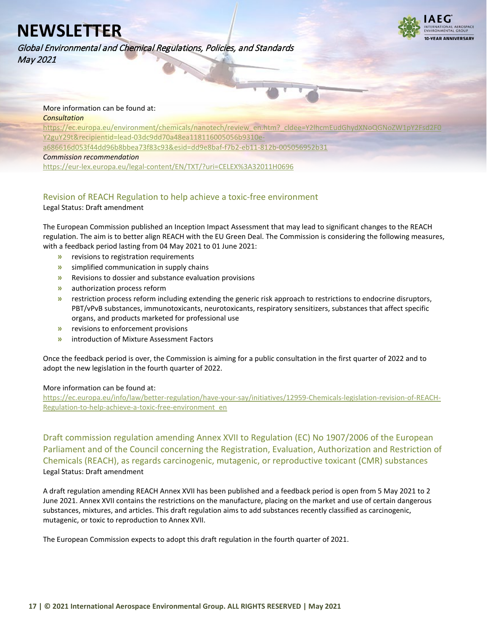**I-VEAR ANNIVERSARY** 

Global Environmental and Chemical Regulations, Policies, and Standards May 2021

#### More information can be found at: *Consultation*

https://ec.europa.eu/environment/chemicals/nanotech/review\_en.htm?\_cldee=Y2lhcmEudGhydXNoQGN [Y2guY29t&recipientid=lead-03dc9dd70a48ea118116005056b9310e-](https://ec.europa.eu/environment/chemicals/nanotech/review_en.htm?_cldee=Y2lhcmEudGhydXNoQGNoZW1pY2Fsd2F0Y2guY29t&recipientid=lead-03dc9dd70a48ea118116005056b9310e-a686616d053f44dd96b8bbea73f83c93&esid=dd9e8baf-f7b2-eb11-812b-005056952b31)

[a686616d053f44dd96b8bbea73f83c93&esid=dd9e8baf-f7b2-eb11-812b-005056952b31](https://ec.europa.eu/environment/chemicals/nanotech/review_en.htm?_cldee=Y2lhcmEudGhydXNoQGNoZW1pY2Fsd2F0Y2guY29t&recipientid=lead-03dc9dd70a48ea118116005056b9310e-a686616d053f44dd96b8bbea73f83c93&esid=dd9e8baf-f7b2-eb11-812b-005056952b31)

#### *Commission recommendation*

<https://eur-lex.europa.eu/legal-content/EN/TXT/?uri=CELEX%3A32011H0696>

## <span id="page-16-0"></span>Revision of REACH Regulation to help achieve a toxic-free environment

Legal Status: Draft amendment

The European Commission published an Inception Impact Assessment that may lead to significant changes to the REACH regulation. The aim is to better align REACH with the EU Green Deal. The Commission is considering the following measures, with a feedback period lasting from 04 May 2021 to 01 June 2021:

- **»** revisions to registration requirements
- **»** simplified communication in supply chains
- **»** Revisions to dossier and substance evaluation provisions
- **»** authorization process reform
- **»** restriction process reform including extending the generic risk approach to restrictions to endocrine disruptors, PBT/vPvB substances, immunotoxicants, neurotoxicants, respiratory sensitizers, substances that affect specific organs, and products marketed for professional use
- **»** revisions to enforcement provisions
- **»** introduction of Mixture Assessment Factors

Once the feedback period is over, the Commission is aiming for a public consultation in the first quarter of 2022 and to adopt the new legislation in the fourth quarter of 2022.

### More information can be found at:

[https://ec.europa.eu/info/law/better-regulation/have-your-say/initiatives/12959-Chemicals-legislation-revision-of-REACH-](https://ec.europa.eu/info/law/better-regulation/have-your-say/initiatives/12959-Chemicals-legislation-revision-of-REACH-Regulation-to-help-achieve-a-toxic-free-environment_en)[Regulation-to-help-achieve-a-toxic-free-environment\\_en](https://ec.europa.eu/info/law/better-regulation/have-your-say/initiatives/12959-Chemicals-legislation-revision-of-REACH-Regulation-to-help-achieve-a-toxic-free-environment_en)

<span id="page-16-1"></span>Draft commission regulation amending Annex XVII to Regulation (EC) No 1907/2006 of the European Parliament and of the Council concerning the Registration, Evaluation, Authorization and Restriction of Chemicals (REACH), as regards carcinogenic, mutagenic, or reproductive toxicant (CMR) substances Legal Status: Draft amendment

A draft regulation amending REACH Annex XVII has been published and a feedback period is open from 5 May 2021 to 2 June 2021. Annex XVII contains the restrictions on the manufacture, placing on the market and use of certain dangerous substances, mixtures, and articles. This draft regulation aims to add substances recently classified as carcinogenic, mutagenic, or toxic to reproduction to Annex XVII.

The European Commission expects to adopt this draft regulation in the fourth quarter of 2021.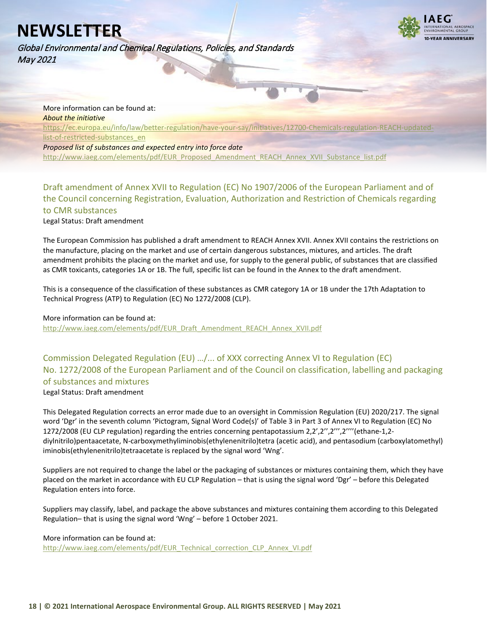Global Environmental and Chemical Regulations, Policies, and Standards May 2021

![](_page_17_Picture_2.jpeg)

More information can be found at: *About the initiative*

https://ec.europa.eu/info/law/better-regulation/have-your-say/initiatives/12700-Chemicals-regulation-RE [list-of-restricted-substances\\_en](https://ec.europa.eu/info/law/better-regulation/have-your-say/initiatives/12700-Chemicals-regulation-REACH-updated-list-of-restricted-substances_en)

*Proposed list of substances and expected entry into force date* [http://www.iaeg.com/elements/pdf/EUR\\_Proposed\\_Amendment\\_REACH\\_Annex\\_XVII\\_Substance\\_list.pdf](http://www.iaeg.com/elements/pdf/EUR_Proposed_Amendment_REACH_Annex_XVII_Substance_list.pdf)

<span id="page-17-0"></span>Draft amendment of Annex XVII to Regulation (EC) No 1907/2006 of the European Parliament and of the Council concerning Registration, Evaluation, Authorization and Restriction of Chemicals regarding to CMR substances

Legal Status: Draft amendment

The European Commission has published a draft amendment to REACH Annex XVII. Annex XVII contains the restrictions on the manufacture, placing on the market and use of certain dangerous substances, mixtures, and articles. The draft amendment prohibits the placing on the market and use, for supply to the general public, of substances that are classified as CMR toxicants, categories 1A or 1B. The full, specific list can be found in the Annex to the draft amendment.

This is a consequence of the classification of these substances as CMR category 1A or 1B under the 17th Adaptation to Technical Progress (ATP) to Regulation (EC) No 1272/2008 (CLP).

### More information can be found at:

[http://www.iaeg.com/elements/pdf/EUR\\_Draft\\_Amendment\\_REACH\\_Annex\\_XVII.pdf](http://www.iaeg.com/elements/pdf/EUR_Draft_Amendment_REACH_Annex_XVII.pdf)

### <span id="page-17-1"></span>Commission Delegated Regulation (EU) …/... of XXX correcting Annex VI to Regulation (EC) No. 1272/2008 of the European Parliament and of the Council on classification, labelling and packaging of substances and mixtures Legal Status: Draft amendment

This Delegated Regulation corrects an error made due to an oversight in Commission Regulation (EU) 2020/217. The signal word 'Dgr' in the seventh column 'Pictogram, Signal Word Code(s)' of Table 3 in Part 3 of Annex VI to Regulation (EC) No 1272/2008 (EU CLP regulation) regarding the entries concerning pentapotassium 2,2',2'',2''',2''''(ethane-1,2 diylnitrilo)pentaacetate, N-carboxymethyliminobis(ethylenenitrilo)tetra (acetic acid), and pentasodium (carboxylatomethyl) iminobis(ethylenenitrilo)tetraacetate is replaced by the signal word 'Wng'.

Suppliers are not required to change the label or the packaging of substances or mixtures containing them, which they have placed on the market in accordance with EU CLP Regulation – that is using the signal word 'Dgr' – before this Delegated Regulation enters into force.

Suppliers may classify, label, and package the above substances and mixtures containing them according to this Delegated Regulation– that is using the signal word 'Wng' – before 1 October 2021.

### More information can be found at:

[http://www.iaeg.com/elements/pdf/EUR\\_Technical\\_correction\\_CLP\\_Annex\\_VI.pdf](http://www.iaeg.com/elements/pdf/EUR_Technical_correction_CLP_Annex_VI.pdf)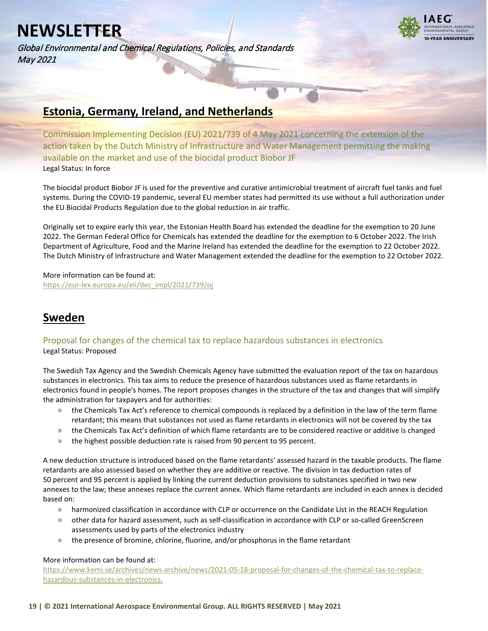Global Environmental and Chemical Regulations, Policies, and Standards May 2021

![](_page_18_Picture_2.jpeg)

### <span id="page-18-0"></span>**Estonia, Germany, Ireland, and Netherlands**

<span id="page-18-1"></span>Commission Implementing Decision (EU) 2021/739 of 4 May 2021 concerning the extension of the action taken by the Dutch Ministry of Infrastructure and Water Management permitting the making available on the market and use of the biocidal product Biobor JF Legal Status: In force

The biocidal product Biobor JF is used for the preventive and curative antimicrobial treatment of aircraft fuel tanks and fuel systems. During the COVID-19 pandemic, several EU member states had permitted its use without a full authorization under the EU Biocidal Products Regulation due to the global reduction in air traffic.

Originally set to expire early this year, the Estonian Health Board has extended the deadline for the exemption to 20 June 2022. The German Federal Office for Chemicals has extended the deadline for the exemption to 6 October 2022. The Irish Department of Agriculture, Food and the Marine Ireland has extended the deadline for the exemption to 22 October 2022. The Dutch Ministry of Infrastructure and Water Management extended the deadline for the exemption to 22 October 2022.

More information can be found at: [https://eur-lex.europa.eu/eli/dec\\_impl/2021/739/oj](https://eur-lex.europa.eu/eli/dec_impl/2021/739/oj)

## <span id="page-18-2"></span>**Sweden**

### <span id="page-18-3"></span>Proposal for changes of the chemical tax to replace hazardous substances in electronics Legal Status: Proposed

The Swedish Tax Agency and the Swedish Chemicals Agency have submitted the evaluation report of the tax on hazardous substances in electronics. This tax aims to reduce the presence of hazardous substances used as flame retardants in electronics found in people's homes. The report proposes changes in the structure of the tax and changes that will simplify the administration for taxpayers and for authorities:

- **»** the Chemicals Tax Act's reference to chemical compounds is replaced by a definition in the law of the term flame retardant; this means that substances not used as flame retardants in electronics will not be covered by the tax
- **»** the Chemicals Tax Act's definition of which flame retardants are to be considered reactive or additive is changed
- **»** the highest possible deduction rate is raised from 90 percent to 95 percent.

A new deduction structure is introduced based on the flame retardants' assessed hazard in the taxable products. The flame retardants are also assessed based on whether they are additive or reactive. The division in tax deduction rates of 50 percent and 95 percent is applied by linking the current deduction provisions to substances specified in two new annexes to the law; these annexes replace the current annex. Which flame retardants are included in each annex is decided based on:

- **»** harmonized classification in accordance with CLP or occurrence on the Candidate List in the REACH Regulation
- **»** other data for hazard assessment, such as self-classification in accordance with CLP or so-called GreenScreen assessments used by parts of the electronics industry
- **»** the presence of bromine, chlorine, fluorine, and/or phosphorus in the flame retardant

### More information can be found at:

[https://www.kemi.se/archives/news-archive/news/2021-05-18-proposal-for-changes-of-the-chemical-tax-to-replace](https://www.kemi.se/archives/news-archive/news/2021-05-18-proposal-for-changes-of-the-chemical-tax-to-replace-hazardous-substances-in-electronics.)[hazardous-substances-in-electronics.](https://www.kemi.se/archives/news-archive/news/2021-05-18-proposal-for-changes-of-the-chemical-tax-to-replace-hazardous-substances-in-electronics.)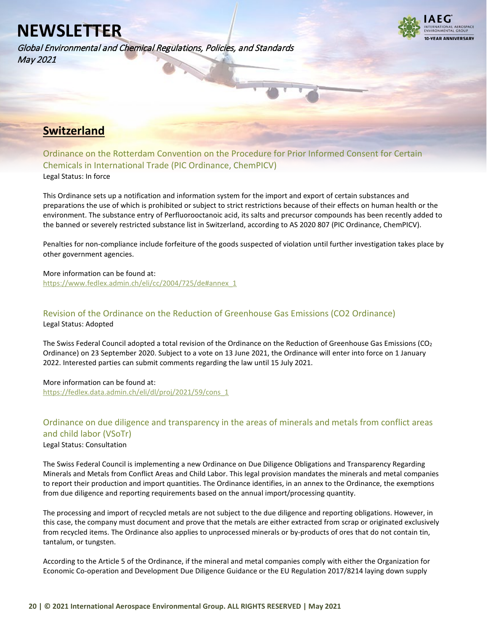Global Environmental and Chemical Regulations, Policies, and Standards May 2021

![](_page_19_Picture_2.jpeg)

## <span id="page-19-0"></span>**Switzerland**

<span id="page-19-1"></span>Ordinance on the Rotterdam Convention on the Procedure for Prior Informed Consent for Certain Chemicals in International Trade (PIC Ordinance, ChemPICV) Legal Status: In force

This Ordinance sets up a notification and information system for the import and export of certain substances and preparations the use of which is prohibited or subject to strict restrictions because of their effects on human health or the environment. The substance entry of Perfluorooctanoic acid, its salts and precursor compounds has been recently added to the banned or severely restricted substance list in Switzerland, according to AS 2020 807 (PIC Ordinance, ChemPICV).

Penalties for non-compliance include forfeiture of the goods suspected of violation until further investigation takes place by other government agencies.

More information can be found at: [https://www.fedlex.admin.ch/eli/cc/2004/725/de#annex\\_1](https://www.fedlex.admin.ch/eli/cc/2004/725/en)

### <span id="page-19-2"></span>Revision of the Ordinance on the Reduction of Greenhouse Gas Emissions (CO2 Ordinance) Legal Status: Adopted

The Swiss Federal Council adopted a total revision of the Ordinance on the Reduction of Greenhouse Gas Emissions ( $CO<sub>2</sub>$ Ordinance) on 23 September 2020. Subject to a vote on 13 June 2021, the Ordinance will enter into force on 1 January 2022. Interested parties can submit comments regarding the law until 15 July 2021.

More information can be found at: [https://fedlex.data.admin.ch/eli/dl/proj/2021/59/cons\\_1](https://fedlex.data.admin.ch/eli/dl/proj/2021/59/cons_1)

### <span id="page-19-3"></span>Ordinance on due diligence and transparency in the areas of minerals and metals from conflict areas and child labor (VSoTr) Legal Status: Consultation

The Swiss Federal Council is implementing a new Ordinance on Due Diligence Obligations and Transparency Regarding Minerals and Metals from Conflict Areas and Child Labor. This legal provision mandates the minerals and metal companies to report their production and import quantities. The Ordinance identifies, in an annex to the Ordinance, the exemptions from due diligence and reporting requirements based on the annual import/processing quantity.

The processing and import of recycled metals are not subject to the due diligence and reporting obligations. However, in this case, the company must document and prove that the metals are either extracted from scrap or originated exclusively from recycled items. The Ordinance also applies to unprocessed minerals or by-products of ores that do not contain tin, tantalum, or tungsten.

According to the Article 5 of the Ordinance, if the mineral and metal companies comply with either the Organization for Economic Co-operation and Development Due Diligence Guidance or the EU Regulation 2017/8214 laying down supply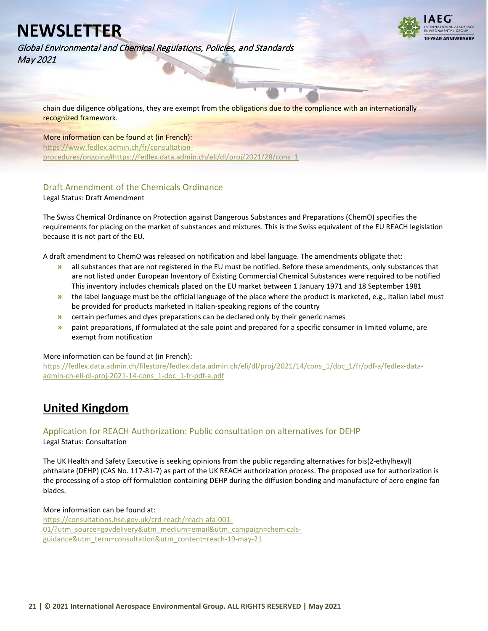![](_page_20_Picture_1.jpeg)

Global Environmental and Chemical Regulations, Policies, and Standards May 2021

chain due diligence obligations, they are exempt from the obligations due to the compliance with an internationally recognized framework.

### More information can be found at (in French):

[https://www.fedlex.admin.ch/fr/consultation](https://www.fedlex.admin.ch/fr/consultation-procedures/ongoing%23https:/fedlex.data.admin.ch/eli/dl/proj/2021/28/cons_1)[procedures/ongoing#https://fedlex.data.admin.ch/eli/dl/proj/2021/28/cons\\_1](https://www.fedlex.admin.ch/fr/consultation-procedures/ongoing%23https:/fedlex.data.admin.ch/eli/dl/proj/2021/28/cons_1)

### <span id="page-20-0"></span>Draft Amendment of the Chemicals Ordinance

Legal Status: Draft Amendment

The Swiss Chemical Ordinance on Protection against Dangerous Substances and Preparations (ChemO) specifies the requirements for placing on the market of substances and mixtures. This is the Swiss equivalent of the EU REACH legislation because it is not part of the EU.

A draft amendment to ChemO was released on notification and label language. The amendments obligate that:

- **»** all substances that are not registered in the EU must be notified. Before these amendments, only substances that are not listed under European Inventory of Existing Commercial Chemical Substances were required to be notified This inventory includes chemicals placed on the EU market between 1 January 1971 and 18 September 1981
- **»** the label language must be the official language of the place where the product is marketed, e.g., Italian label must be provided for products marketed in Italian-speaking regions of the country
- **»** certain perfumes and dyes preparations can be declared only by their generic names
- **»** paint preparations, if formulated at the sale point and prepared for a specific consumer in limited volume, are exempt from notification

#### More information can be found at (in French):

[https://fedlex.data.admin.ch/filestore/fedlex.data.admin.ch/eli/dl/proj/2021/14/cons\\_1/doc\\_1/fr/pdf-a/fedlex-data](https://fedlex.data.admin.ch/filestore/fedlex.data.admin.ch/eli/dl/proj/2021/14/cons_1/doc_1/fr/pdf-a/fedlex-data-admin-ch-eli-dl-proj-2021-14-cons_1-doc_1-fr-pdf-a.pdf)[admin-ch-eli-dl-proj-2021-14-cons\\_1-doc\\_1-fr-pdf-a.pdf](https://fedlex.data.admin.ch/filestore/fedlex.data.admin.ch/eli/dl/proj/2021/14/cons_1/doc_1/fr/pdf-a/fedlex-data-admin-ch-eli-dl-proj-2021-14-cons_1-doc_1-fr-pdf-a.pdf)

## <span id="page-20-1"></span>**United Kingdom**

### <span id="page-20-2"></span>Application for REACH Authorization: Public consultation on alternatives for DEHP

Legal Status: Consultation

The UK Health and Safety Executive is seeking opinions from the public regarding alternatives for bis(2-ethylhexyl) phthalate (DEHP) (CAS No. 117-81-7) as part of the UK REACH authorization process. The proposed use for authorization is the processing of a stop-off formulation containing DEHP during the diffusion bonding and manufacture of aero engine fan blades.

#### More information can be found at:

[https://consultations.hse.gov.uk/crd-reach/reach-afa-001-](https://consultations.hse.gov.uk/crd-reach/reach-afa-001-01/?utm_source=govdelivery&utm_medium=email&utm_campaign=chemicals-guidance&utm_term=consultation&utm_content=reach-19-may-21) [01/?utm\\_source=govdelivery&utm\\_medium=email&utm\\_campaign=chemicals](https://consultations.hse.gov.uk/crd-reach/reach-afa-001-01/?utm_source=govdelivery&utm_medium=email&utm_campaign=chemicals-guidance&utm_term=consultation&utm_content=reach-19-may-21)[guidance&utm\\_term=consultation&utm\\_content=reach-19-may-21](https://consultations.hse.gov.uk/crd-reach/reach-afa-001-01/?utm_source=govdelivery&utm_medium=email&utm_campaign=chemicals-guidance&utm_term=consultation&utm_content=reach-19-may-21)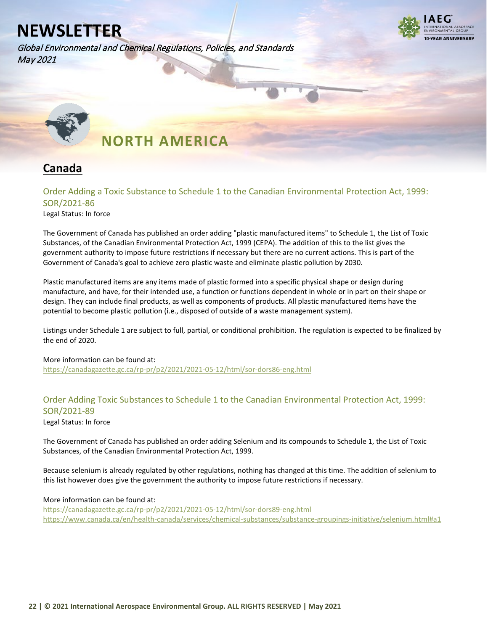Global Environmental and Chemical Regulations, Policies, and Standards May 2021

![](_page_21_Picture_2.jpeg)

<span id="page-21-0"></span>![](_page_21_Picture_3.jpeg)

## **NORTH AMERICA**

## <span id="page-21-1"></span>**Canada**

### <span id="page-21-2"></span>Order Adding a Toxic Substance to Schedule 1 to the Canadian Environmental Protection Act, 1999: SOR/2021-86

Legal Status: In force

The Government of Canada has published an order adding "plastic manufactured items" to Schedule 1, the List of Toxic Substances, of the Canadian Environmental Protection Act, 1999 (CEPA). The addition of this to the list gives the government authority to impose future restrictions if necessary but there are no current actions. This is part of the Government of Canada's goal to achieve zero plastic waste and eliminate plastic pollution by 2030.

Plastic manufactured items are any items made of plastic formed into a specific physical shape or design during manufacture, and have, for their intended use, a function or functions dependent in whole or in part on their shape or design. They can include final products, as well as components of products. All plastic manufactured items have the potential to become plastic pollution (i.e., disposed of outside of a waste management system).

Listings under Schedule 1 are subject to full, partial, or conditional prohibition. The regulation is expected to be finalized by the end of 2020.

More information can be found at: <https://canadagazette.gc.ca/rp-pr/p2/2021/2021-05-12/html/sor-dors86-eng.html>

### <span id="page-21-3"></span>Order Adding Toxic Substances to Schedule 1 to the Canadian Environmental Protection Act, 1999: SOR/2021-89

Legal Status: In force

The Government of Canada has published an order adding Selenium and its compounds to Schedule 1, the List of Toxic Substances, of the Canadian Environmental Protection Act, 1999.

Because selenium is already regulated by other regulations, nothing has changed at this time. The addition of selenium to this list however does give the government the authority to impose future restrictions if necessary.

### More information can be found at:

<https://canadagazette.gc.ca/rp-pr/p2/2021/2021-05-12/html/sor-dors89-eng.html> [https://www.canada.ca/en/health-canada/services/chemical-substances/substance-groupings-initiative/selenium.html#a1](https://www.canada.ca/en/health-canada/services/chemical-substances/substance-groupings-initiative/selenium.html%23a1)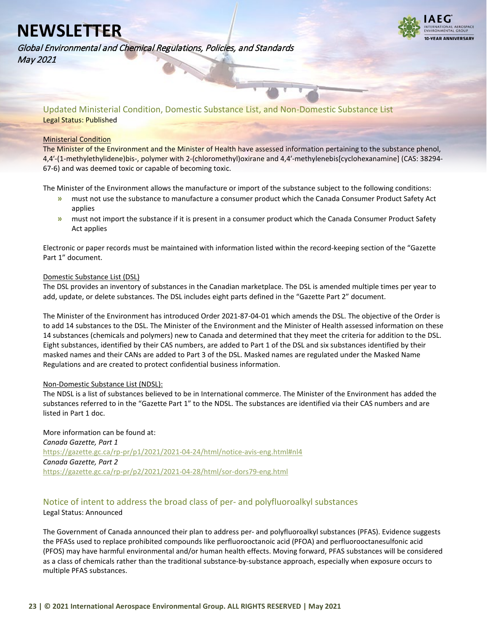**VEAR ANNIVERSARY** 

Global Environmental and Chemical Regulations, Policies, and Standards May 2021

<span id="page-22-0"></span>Updated Ministerial Condition, Domestic Substance List, and Non-Domestic Substance List Legal Status: Published

#### Ministerial Condition

The Minister of the Environment and the Minister of Health have assessed information pertaining to the substance phenol, 4,4′-(1-methylethylidene)bis-, polymer with 2-(chloromethyl)oxirane and 4,4′-methylenebis[cyclohexanamine] (CAS: 38294- 67-6) and was deemed toxic or capable of becoming toxic.

The Minister of the Environment allows the manufacture or import of the substance subject to the following conditions:

- **»** must not use the substance to manufacture a consumer product which the Canada Consumer Product Safety Act applies
- **»** must not import the substance if it is present in a consumer product which the Canada Consumer Product Safety Act applies

Electronic or paper records must be maintained with information listed within the record-keeping section of the "Gazette Part 1" document.

#### Domestic Substance List (DSL)

The DSL provides an inventory of substances in the Canadian marketplace. The DSL is amended multiple times per year to add, update, or delete substances. The DSL includes eight parts defined in the "Gazette Part 2" document.

The Minister of the Environment has introduced Order 2021-87-04-01 which amends the DSL. The objective of the Order is to add 14 substances to the DSL. The Minister of the Environment and the Minister of Health assessed information on these 14 substances (chemicals and polymers) new to Canada and determined that they meet the criteria for addition to the DSL. Eight substances, identified by their CAS numbers, are added to Part 1 of the DSL and six substances identified by their masked names and their CANs are added to Part 3 of the DSL. Masked names are regulated under the Masked Name Regulations and are created to protect confidential business information.

### Non-Domestic Substance List (NDSL):

The NDSL is a list of substances believed to be in International commerce. The Minister of the Environment has added the substances referred to in the "Gazette Part 1" to the NDSL. The substances are identified via their CAS numbers and are listed in Part 1 doc.

More information can be found at: *Canada Gazette, Part 1* [https://gazette.gc.ca/rp-pr/p1/2021/2021-04-24/html/notice-avis-eng.html#nl4](https://gazette.gc.ca/rp-pr/p1/2021/2021-04-24/html/notice-avis-eng.html%23nl4) *Canada Gazette, Part 2* <https://gazette.gc.ca/rp-pr/p2/2021/2021-04-28/html/sor-dors79-eng.html>

### <span id="page-22-1"></span>Notice of intent to address the broad class of per- and polyfluoroalkyl substances

### Legal Status: Announced

The Government of Canada announced their plan to address per- and polyfluoroalkyl substances (PFAS). Evidence suggests the PFASs used to replace prohibited compounds like perfluorooctanoic acid (PFOA) and perfluorooctanesulfonic acid (PFOS) may have harmful environmental and/or human health effects. Moving forward, PFAS substances will be considered as a class of chemicals rather than the traditional substance-by-substance approach, especially when exposure occurs to multiple PFAS substances.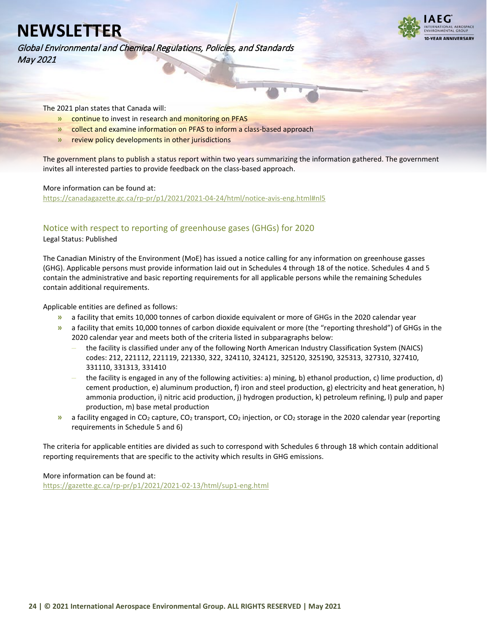Global Environmental and Chemical Regulations, Policies, and Standards May 2021

![](_page_23_Picture_2.jpeg)

The 2021 plan states that Canada will:

- **»** continue to invest in research and monitoring on PFAS
- **»** collect and examine information on PFAS to inform a class-based approach
- **»** review policy developments in other jurisdictions

The government plans to publish a status report within two years summarizing the information gathered. The government invites all interested parties to provide feedback on the class-based approach.

#### More information can be found at:

[https://canadagazette.gc.ca/rp-pr/p1/2021/2021-04-24/html/notice-avis-eng.html#nl5](https://canadagazette.gc.ca/rp-pr/p1/2021/2021-04-24/html/notice-avis-eng.html%23nl5)

### <span id="page-23-0"></span>Notice with respect to reporting of greenhouse gases (GHGs) for 2020

Legal Status: Published

The Canadian Ministry of the Environment (MoE) has issued a notice calling for any information on greenhouse gasses (GHG). Applicable persons must provide information laid out in Schedules 4 through 18 of the notice. Schedules 4 and 5 contain the administrative and basic reporting requirements for all applicable persons while the remaining Schedules contain additional requirements.

Applicable entities are defined as follows:

- **»** a facility that emits 10,000 tonnes of carbon dioxide equivalent or more of GHGs in the 2020 calendar year
- **»** a facility that emits 10,000 tonnes of carbon dioxide equivalent or more (the "reporting threshold") of GHGs in the 2020 calendar year and meets both of the criteria listed in subparagraphs below:
	- **–** the facility is classified under any of the following North American Industry Classification System (NAICS) codes: 212, 221112, 221119, 221330, 322, 324110, 324121, 325120, 325190, 325313, 327310, 327410, 331110, 331313, 331410
	- **–** the facility is engaged in any of the following activities: a) mining, b) ethanol production, c) lime production, d) cement production, e) aluminum production, f) iron and steel production, g) electricity and heat generation, h) ammonia production, i) nitric acid production, j) hydrogen production, k) petroleum refining, l) pulp and paper production, m) base metal production
- **»** a facility engaged in CO2 capture, CO2 transport, CO2 injection, or CO2 storage in the 2020 calendar year (reporting requirements in Schedule 5 and 6)

The criteria for applicable entities are divided as such to correspond with Schedules 6 through 18 which contain additional reporting requirements that are specific to the activity which results in GHG emissions.

More information can be found at:

<https://gazette.gc.ca/rp-pr/p1/2021/2021-02-13/html/sup1-eng.html>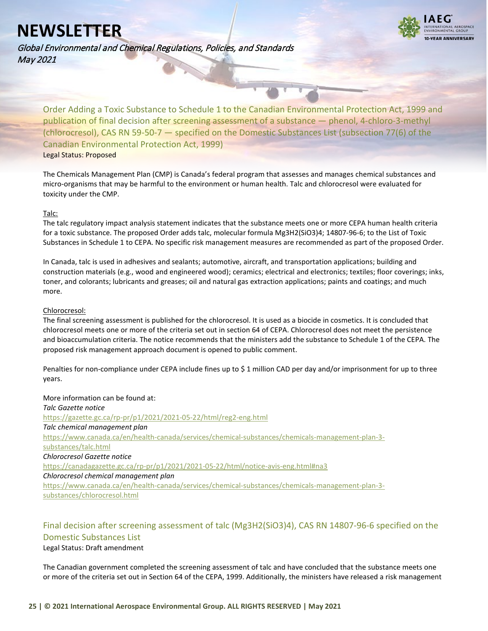Global Environmental and Chemical Regulations, Policies, and Standards May 2021

![](_page_24_Picture_2.jpeg)

<span id="page-24-0"></span>Order Adding a Toxic Substance to Schedule 1 to the Canadian Environmental Protection Act, 1999 and publication of final decision after screening assessment of a substance — phenol, 4-chloro-3-methyl (chlorocresol), CAS RN 59-50-7 — specified on the Domestic Substances List (subsection 77(6) of the Canadian Environmental Protection Act, 1999) Legal Status: Proposed

The Chemicals Management Plan (CMP) is Canada's federal program that assesses and manages chemical substances and micro-organisms that may be harmful to the environment or human health. Talc and chlorocresol were evaluated for toxicity under the CMP.

#### Talc:

The talc regulatory impact analysis statement indicates that the substance meets one or more CEPA human health criteria for a toxic substance. The proposed Order adds talc, molecular formula Mg3H2(SiO3)4; 14807-96-6; to the List of Toxic Substances in Schedule 1 to CEPA. No specific risk management measures are recommended as part of the proposed Order.

In Canada, talc is used in adhesives and sealants; automotive, aircraft, and transportation applications; building and construction materials (e.g., wood and engineered wood); ceramics; electrical and electronics; textiles; floor coverings; inks, toner, and colorants; lubricants and greases; oil and natural gas extraction applications; paints and coatings; and much more.

#### Chlorocresol:

The final screening assessment is published for the chlorocresol. It is used as a biocide in cosmetics. It is concluded that chlorocresol meets one or more of the criteria set out in section 64 of CEPA. Chlorocresol does not meet the persistence and bioaccumulation criteria. The notice recommends that the ministers add the substance to Schedule 1 of the CEPA. The proposed risk management approach document is opened to public comment.

Penalties for non-compliance under CEPA include fines up to \$ 1 million CAD per day and/or imprisonment for up to three years.

More information can be found at: *Talc Gazette notice* <https://gazette.gc.ca/rp-pr/p1/2021/2021-05-22/html/reg2-eng.html> *Talc chemical management plan* [https://www.canada.ca/en/health-canada/services/chemical-substances/chemicals-management-plan-3](https://www.canada.ca/en/health-canada/services/chemical-substances/chemicals-management-plan-3-substances/talc.html) [substances/talc.html](https://www.canada.ca/en/health-canada/services/chemical-substances/chemicals-management-plan-3-substances/talc.html) *Chlorocresol Gazette notice* [https://canadagazette.gc.ca/rp-pr/p1/2021/2021-05-22/html/notice-avis-eng.html#na3](https://canadagazette.gc.ca/rp-pr/p1/2021/2021-05-22/html/notice-avis-eng.html%23na3) *Chlorocresol chemical management plan* [https://www.canada.ca/en/health-canada/services/chemical-substances/chemicals-management-plan-3](https://www.canada.ca/en/health-canada/services/chemical-substances/chemicals-management-plan-3-substances/chlorocresol.html) [substances/chlorocresol.html](https://www.canada.ca/en/health-canada/services/chemical-substances/chemicals-management-plan-3-substances/chlorocresol.html)

### <span id="page-24-1"></span>Final decision after screening assessment of talc (Mg3H2(SiO3)4), CAS RN 14807-96-6 specified on the Domestic Substances List

#### Legal Status: Draft amendment

The Canadian government completed the screening assessment of talc and have concluded that the substance meets one or more of the criteria set out in Section 64 of the CEPA, 1999. Additionally, the ministers have released a risk management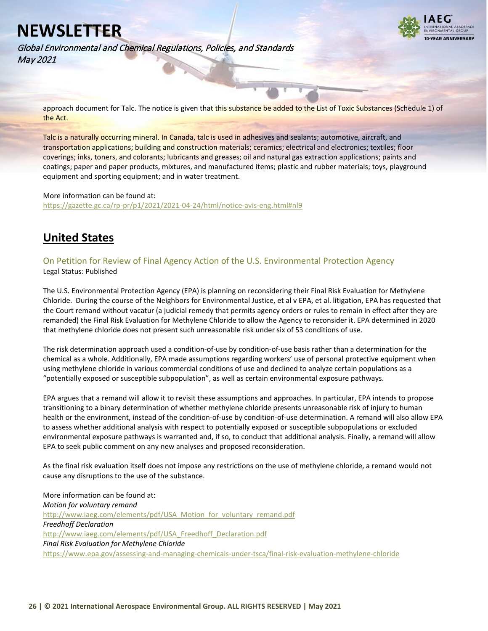![](_page_25_Picture_1.jpeg)

Global Environmental and Chemical Regulations, Policies, and Standards May 2021

approach document for Talc. The notice is given that this substance be added to the List of Toxic Substances (Schedule 1) of the Act.

Talc is a naturally occurring mineral. In Canada, talc is used in adhesives and sealants; automotive, aircraft, and transportation applications; building and construction materials; ceramics; electrical and electronics; textiles; floor coverings; inks, toners, and colorants; lubricants and greases; oil and natural gas extraction applications; paints and coatings; paper and paper products, mixtures, and manufactured items; plastic and rubber materials; toys, playground equipment and sporting equipment; and in water treatment.

#### More information can be found at:

[https://gazette.gc.ca/rp-pr/p1/2021/2021-04-24/html/notice-avis-eng.html#nl9](https://gazette.gc.ca/rp-pr/p1/2021/2021-04-24/html/notice-avis-eng.html%23nl9)

### <span id="page-25-0"></span>**United States**

### <span id="page-25-1"></span>On Petition for Review of Final Agency Action of the U.S. Environmental Protection Agency Legal Status: Published

The U.S. Environmental Protection Agency (EPA) is planning on reconsidering their Final Risk Evaluation for Methylene Chloride. During the course of the Neighbors for Environmental Justice, et al v EPA, et al. litigation, EPA has requested that the Court remand without vacatur (a judicial remedy that permits agency orders or rules to remain in effect after they are remanded) the Final Risk Evaluation for Methylene Chloride to allow the Agency to reconsider it. EPA determined in 2020 that methylene chloride does not present such unreasonable risk under six of 53 conditions of use.

The risk determination approach used a condition-of-use by condition-of-use basis rather than a determination for the chemical as a whole. Additionally, EPA made assumptions regarding workers' use of personal protective equipment when using methylene chloride in various commercial conditions of use and declined to analyze certain populations as a "potentially exposed or susceptible subpopulation", as well as certain environmental exposure pathways.

EPA argues that a remand will allow it to revisit these assumptions and approaches. In particular, EPA intends to propose transitioning to a binary determination of whether methylene chloride presents unreasonable risk of injury to human health or the environment, instead of the condition-of-use by condition-of-use determination. A remand will also allow EPA to assess whether additional analysis with respect to potentially exposed or susceptible subpopulations or excluded environmental exposure pathways is warranted and, if so, to conduct that additional analysis. Finally, a remand will allow EPA to seek public comment on any new analyses and proposed reconsideration.

As the final risk evaluation itself does not impose any restrictions on the use of methylene chloride, a remand would not cause any disruptions to the use of the substance.

More information can be found at: *Motion for voluntary remand* [http://www.iaeg.com/elements/pdf/USA\\_Motion\\_for\\_voluntary\\_remand.pdf](http://www.iaeg.com/elements/pdf/USA_Motion_for_voluntary_remand.pdf) *Freedhoff Declaration* [http://www.iaeg.com/elements/pdf/USA\\_Freedhoff\\_Declaration.pdf](http://www.iaeg.com/elements/pdf/USA_Freedhoff_Declaration.pdf) *Final Risk Evaluation for Methylene Chloride* <https://www.epa.gov/assessing-and-managing-chemicals-under-tsca/final-risk-evaluation-methylene-chloride>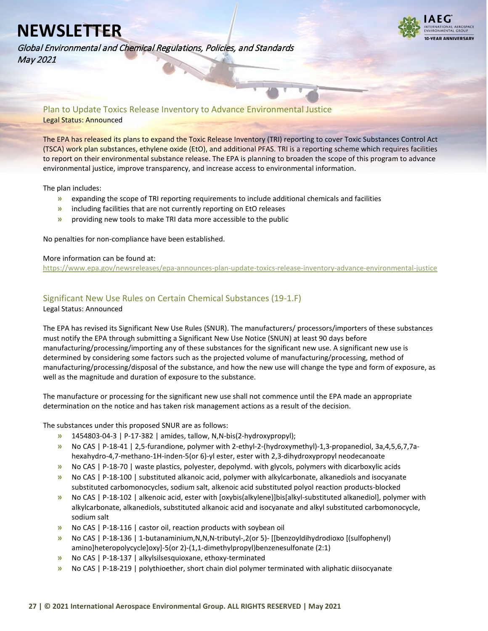![](_page_26_Picture_1.jpeg)

Global Environmental and Chemical Regulations, Policies, and Standards May 2021

<span id="page-26-0"></span>Plan to Update Toxics Release Inventory to Advance Environmental Justice Legal Status: Announced

The EPA has released its plans to expand the Toxic Release Inventory (TRI) reporting to cover Toxic Substances Control Act (TSCA) work plan substances, ethylene oxide (EtO), and additional PFAS. TRI is a reporting scheme which requires facilities to report on their environmental substance release. The EPA is planning to broaden the scope of this program to advance environmental justice, improve transparency, and increase access to environmental information.

The plan includes:

- **»** expanding the scope of TRI reporting requirements to include additional chemicals and facilities
- **»** including facilities that are not currently reporting on EtO releases
- **»** providing new tools to make TRI data more accessible to the public

No penalties for non-compliance have been established.

#### More information can be found at:

<https://www.epa.gov/newsreleases/epa-announces-plan-update-toxics-release-inventory-advance-environmental-justice>

### <span id="page-26-1"></span>Significant New Use Rules on Certain Chemical Substances (19-1.F)

Legal Status: Announced

The EPA has revised its Significant New Use Rules (SNUR). The manufacturers/ processors/importers of these substances must notify the EPA through submitting a Significant New Use Notice (SNUN) at least 90 days before manufacturing/processing/importing any of these substances for the significant new use. A significant new use is determined by considering some factors such as the projected volume of manufacturing/processing, method of manufacturing/processing/disposal of the substance, and how the new use will change the type and form of exposure, as well as the magnitude and duration of exposure to the substance.

The manufacture or processing for the significant new use shall not commence until the EPA made an appropriate determination on the notice and has taken risk management actions as a result of the decision.

The substances under this proposed SNUR are as follows:

- **»** 1454803-04-3 | P-17-382 | amides, tallow, N,N-bis(2-hydroxypropyl);
- **»** No CAS | P-18-41 | 2,5-furandione, polymer with 2-ethyl-2-(hydroxymethyl)-1,3-propanediol, 3a,4,5,6,7,7ahexahydro-4,7-methano-1H-inden-5(or 6)-yl ester, ester with 2,3-dihydroxypropyl neodecanoate
- **»** No CAS | P-18-70 | waste plastics, polyester, depolymd. with glycols, polymers with dicarboxylic acids
- **»** No CAS | P-18-100 | substituted alkanoic acid, polymer with alkylcarbonate, alkanediols and isocyanate substituted carbomonocycles, sodium salt, alkenoic acid substituted polyol reaction products-blocked
- **»** No CAS | P-18-102 | alkenoic acid, ester with [oxybis(alkylene)]bis[alkyl-substituted alkanediol], polymer with alkylcarbonate, alkanediols, substituted alkanoic acid and isocyanate and alkyl substituted carbomonocycle, sodium salt
- **»** No CAS | P-18-116 | castor oil, reaction products with soybean oil
- **»** No CAS | P-18-136 | 1-butanaminium,N,N,N-tributyl-,2(or 5)- [[benzoyldihydrodioxo [(sulfophenyl) amino]heteropolycycle]oxy]-5(or 2)-(1,1-dimethylpropyl)benzenesulfonate (2:1)
- **»** No CAS | P-18-137 | alkylsilsesquioxane, ethoxy-terminated
- **»** No CAS | P-18-219 | polythioether, short chain diol polymer terminated with aliphatic diisocyanate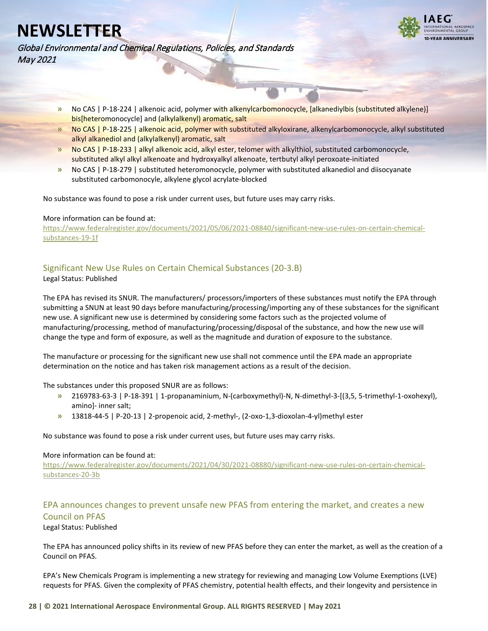![](_page_27_Picture_1.jpeg)

Global Environmental and Chemical Regulations, Policies, and Standards May 2021

- **»** No CAS | P-18-224 | alkenoic acid, polymer with alkenylcarbomonocycle, [alkanediylbis (substituted alkylene)] bis[heteromonocycle] and (alkylalkenyl) aromatic, salt
- **»** No CAS | P-18-225 | alkenoic acid, polymer with substituted alkyloxirane, alkenylcarbomonocycle, alkyl substituted alkyl alkanediol and (alkylalkenyl) aromatic, salt
- **»** No CAS | P-18-233 | alkyl alkenoic acid, alkyl ester, telomer with alkylthiol, substituted carbomonocycle, substituted alkyl alkyl alkenoate and hydroxyalkyl alkenoate, tertbutyl alkyl peroxoate-initiated
- **»** No CAS | P-18-279 | substituted heteromonocycle, polymer with substituted alkanediol and diisocyanate substituted carbomonocyle, alkylene glycol acrylate-blocked

No substance was found to pose a risk under current uses, but future uses may carry risks.

#### More information can be found at:

[https://www.federalregister.gov/documents/2021/05/06/2021-08840/significant-new-use-rules-on-certain-chemical](https://www.federalregister.gov/documents/2021/05/06/2021-08840/significant-new-use-rules-on-certain-chemical-substances-19-1f)[substances-19-1f](https://www.federalregister.gov/documents/2021/05/06/2021-08840/significant-new-use-rules-on-certain-chemical-substances-19-1f)

### <span id="page-27-0"></span>Significant New Use Rules on Certain Chemical Substances (20-3.B)

Legal Status: Published

The EPA has revised its SNUR. The manufacturers/ processors/importers of these substances must notify the EPA through submitting a SNUN at least 90 days before manufacturing/processing/importing any of these substances for the significant new use. A significant new use is determined by considering some factors such as the projected volume of manufacturing/processing, method of manufacturing/processing/disposal of the substance, and how the new use will change the type and form of exposure, as well as the magnitude and duration of exposure to the substance.

The manufacture or processing for the significant new use shall not commence until the EPA made an appropriate determination on the notice and has taken risk management actions as a result of the decision.

The substances under this proposed SNUR are as follows:

- **»** 2169783-63-3 | P-18-391 | 1-propanaminium, N-(carboxymethyl)-N, N-dimethyl-3-[(3,5, 5-trimethyl-1-oxohexyl), amino]- inner salt;
- **»** 13818-44-5 | P-20-13 | 2-propenoic acid, 2-methyl-, (2-oxo-1,3-dioxolan-4-yl)methyl ester

No substance was found to pose a risk under current uses, but future uses may carry risks.

### More information can be found at:

[https://www.federalregister.gov/documents/2021/04/30/2021-08880/significant-new-use-rules-on-certain-chemical](https://www.federalregister.gov/documents/2021/04/30/2021-08880/significant-new-use-rules-on-certain-chemical-substances-20-3b)[substances-20-3b](https://www.federalregister.gov/documents/2021/04/30/2021-08880/significant-new-use-rules-on-certain-chemical-substances-20-3b)

### <span id="page-27-1"></span>EPA announces changes to prevent unsafe new PFAS from entering the market, and creates a new Council on PFAS

Legal Status: Published

The EPA has announced policy shifts in its review of new PFAS before they can enter the market, as well as the creation of a Council on PFAS.

EPA's New Chemicals Program is implementing a new strategy for reviewing and managing Low Volume Exemptions (LVE) requests for PFAS. Given the complexity of PFAS chemistry, potential health effects, and their longevity and persistence in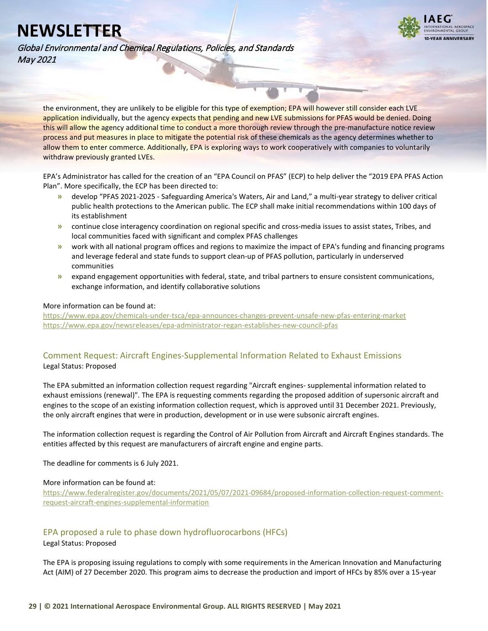![](_page_28_Picture_1.jpeg)

Global Environmental and Chemical Regulations, Policies, and Standards May 2021

the environment, they are unlikely to be eligible for this type of exemption; EPA will however still consider each LVE application individually, but the agency expects that pending and new LVE submissions for PFAS would be denied. Doing this will allow the agency additional time to conduct a more thorough review through the pre-manufacture notice review process and put measures in place to mitigate the potential risk of these chemicals as the agency determines whether to allow them to enter commerce. Additionally, EPA is exploring ways to work cooperatively with companies to voluntarily withdraw previously granted LVEs.

EPA's Administrator has called for the creation of an "EPA Council on PFAS" (ECP) to help deliver the "2019 EPA PFAS Action Plan". More specifically, the ECP has been directed to:

- **»** develop "PFAS 2021-2025 Safeguarding America's Waters, Air and Land," a multi-year strategy to deliver critical public health protections to the American public. The ECP shall make initial recommendations within 100 days of its establishment
- **»** continue close interagency coordination on regional specific and cross-media issues to assist states, Tribes, and local communities faced with significant and complex PFAS challenges
- **»** work with all national program offices and regions to maximize the impact of EPA's funding and financing programs and leverage federal and state funds to support clean-up of PFAS pollution, particularly in underserved communities
- **»** expand engagement opportunities with federal, state, and tribal partners to ensure consistent communications, exchange information, and identify collaborative solutions

#### More information can be found at:

<https://www.epa.gov/chemicals-under-tsca/epa-announces-changes-prevent-unsafe-new-pfas-entering-market> <https://www.epa.gov/newsreleases/epa-administrator-regan-establishes-new-council-pfas>

### <span id="page-28-0"></span>Comment Request: Aircraft Engines-Supplemental Information Related to Exhaust Emissions Legal Status: Proposed

The EPA submitted an information collection request regarding "Aircraft engines- supplemental information related to exhaust emissions (renewal)". The EPA is requesting comments regarding the proposed addition of supersonic aircraft and engines to the scope of an existing information collection request, which is approved until 31 December 2021. Previously, the only aircraft engines that were in production, development or in use were subsonic aircraft engines.

The information collection request is regarding the Control of Air Pollution from Aircraft and Aircraft Engines standards. The entities affected by this request are manufacturers of aircraft engine and engine parts.

The deadline for comments is 6 July 2021.

### More information can be found at:

[https://www.federalregister.gov/documents/2021/05/07/2021-09684/proposed-information-collection-request-comment](https://www.federalregister.gov/documents/2021/05/07/2021-09684/proposed-information-collection-request-comment-request-aircraft-engines-supplemental-information)[request-aircraft-engines-supplemental-information](https://www.federalregister.gov/documents/2021/05/07/2021-09684/proposed-information-collection-request-comment-request-aircraft-engines-supplemental-information)

### <span id="page-28-1"></span>EPA proposed a rule to phase down hydrofluorocarbons (HFCs)

Legal Status: Proposed

The EPA is proposing issuing regulations to comply with some requirements in the American Innovation and Manufacturing Act (AIM) of 27 December 2020. This program aims to decrease the production and import of HFCs by 85% over a 15-year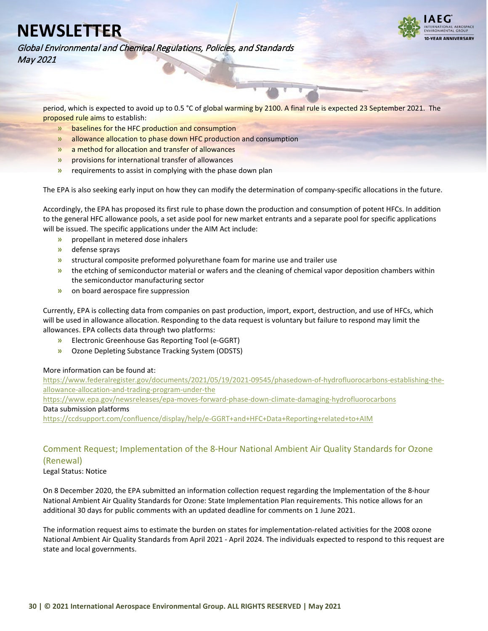![](_page_29_Picture_1.jpeg)

Global Environmental and Chemical Regulations, Policies, and Standards May 2021

period, which is expected to avoid up to 0.5 °C of global warming by 2100. A final rule is expected 23 September 2021. The proposed rule aims to establish:

- **»** baselines for the HFC production and consumption
- **»** allowance allocation to phase down HFC production and consumption
- **»** a method for allocation and transfer of allowances
- **»** provisions for international transfer of allowances
- **»** requirements to assist in complying with the phase down plan

The EPA is also seeking early input on how they can modify the determination of company-specific allocations in the future.

Accordingly, the EPA has proposed its first rule to phase down the production and consumption of potent HFCs. In addition to the general HFC allowance pools, a set aside pool for new market entrants and a separate pool for specific applications will be issued. The specific applications under the AIM Act include:

- **»** propellant in metered dose inhalers
- **»** defense sprays
- **»** structural composite preformed polyurethane foam for marine use and trailer use
- **»** the etching of semiconductor material or wafers and the cleaning of chemical vapor deposition chambers within the semiconductor manufacturing sector
- **»** on board aerospace fire suppression

Currently, EPA is collecting data from companies on past production, import, export, destruction, and use of HFCs, which will be used in allowance allocation. Responding to the data request is voluntary but failure to respond may limit the allowances. EPA collects data through two platforms:

- **»** Electronic Greenhouse Gas Reporting Tool (e-GGRT)
- **»** Ozone Depleting Substance Tracking System (ODSTS)

#### More information can be found at:

[https://www.federalregister.gov/documents/2021/05/19/2021-09545/phasedown-of-hydrofluorocarbons-establishing-the](https://www.federalregister.gov/documents/2021/05/19/2021-09545/phasedown-of-hydrofluorocarbons-establishing-the-allowance-allocation-and-trading-program-under-the)[allowance-allocation-and-trading-program-under-the](https://www.federalregister.gov/documents/2021/05/19/2021-09545/phasedown-of-hydrofluorocarbons-establishing-the-allowance-allocation-and-trading-program-under-the) <https://www.epa.gov/newsreleases/epa-moves-forward-phase-down-climate-damaging-hydrofluorocarbons> Data submission platforms <https://ccdsupport.com/confluence/display/help/e-GGRT+and+HFC+Data+Reporting+related+to+AIM>

### <span id="page-29-0"></span>Comment Request; Implementation of the 8-Hour National Ambient Air Quality Standards for Ozone (Renewal)

Legal Status: Notice

On 8 December 2020, the EPA submitted an information collection request regarding the Implementation of the 8-hour National Ambient Air Quality Standards for Ozone: State Implementation Plan requirements. This notice allows for an additional 30 days for public comments with an updated deadline for comments on 1 June 2021.

The information request aims to estimate the burden on states for implementation-related activities for the 2008 ozone National Ambient Air Quality Standards from April 2021 - April 2024. The individuals expected to respond to this request are state and local governments.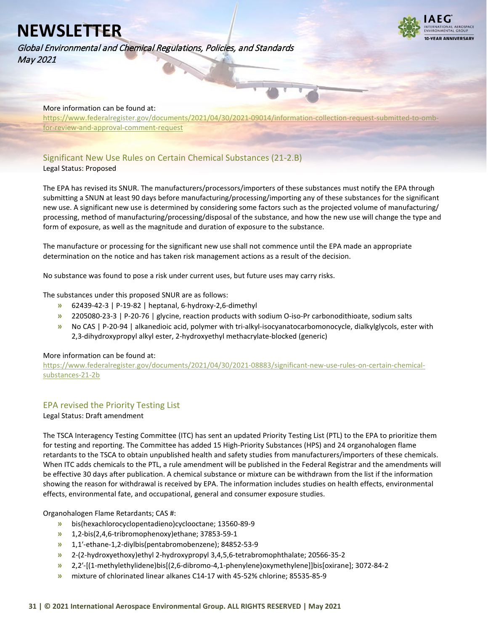![](_page_30_Picture_1.jpeg)

![](_page_30_Picture_2.jpeg)

#### More information can be found at:

[https://www.federalregister.gov/documents/2021/04/30/2021-09014/information-collection-request-submitted-to-omb](https://www.federalregister.gov/documents/2021/04/30/2021-09014/information-collection-request-submitted-to-omb-for-review-and-approval-comment-request)[for-review-and-approval-comment-request](https://www.federalregister.gov/documents/2021/04/30/2021-09014/information-collection-request-submitted-to-omb-for-review-and-approval-comment-request)

### <span id="page-30-0"></span>Significant New Use Rules on Certain Chemical Substances (21-2.B) Legal Status: Proposed

The EPA has revised its SNUR. The manufacturers/processors/importers of these substances must notify the EPA through submitting a SNUN at least 90 days before manufacturing/processing/importing any of these substances for the significant new use. A significant new use is determined by considering some factors such as the projected volume of manufacturing/ processing, method of manufacturing/processing/disposal of the substance, and how the new use will change the type and form of exposure, as well as the magnitude and duration of exposure to the substance.

The manufacture or processing for the significant new use shall not commence until the EPA made an appropriate determination on the notice and has taken risk management actions as a result of the decision.

No substance was found to pose a risk under current uses, but future uses may carry risks.

The substances under this proposed SNUR are as follows:

- **»** 62439-42-3 | P-19-82 | heptanal, 6-hydroxy-2,6-dimethyl
- **»** 2205080-23-3 | P-20-76 | glycine, reaction products with sodium O-iso-Pr carbonodithioate, sodium salts
- **»** No CAS | P-20-94 | alkanedioic acid, polymer with tri-alkyl-isocyanatocarbomonocycle, dialkylglycols, ester with 2,3-dihydroxypropyl alkyl ester, 2-hydroxyethyl methacrylate-blocked (generic)

#### More information can be found at:

[https://www.federalregister.gov/documents/2021/04/30/2021-08883/significant-new-use-rules-on-certain-chemical](https://www.federalregister.gov/documents/2021/04/30/2021-08883/significant-new-use-rules-on-certain-chemical-substances-21-2b)[substances-21-2b](https://www.federalregister.gov/documents/2021/04/30/2021-08883/significant-new-use-rules-on-certain-chemical-substances-21-2b)

### <span id="page-30-1"></span>EPA revised the Priority Testing List

Legal Status: Draft amendment

The TSCA Interagency Testing Committee (ITC) has sent an updated Priority Testing List (PTL) to the EPA to prioritize them for testing and reporting. The Committee has added 15 High-Priority Substances (HPS) and 24 organohalogen flame retardants to the TSCA to obtain unpublished health and safety studies from manufacturers/importers of these chemicals. When ITC adds chemicals to the PTL, a rule amendment will be published in the Federal Registrar and the amendments will be effective 30 days after publication. A chemical substance or mixture can be withdrawn from the list if the information showing the reason for withdrawal is received by EPA. The information includes studies on health effects, environmental effects, environmental fate, and occupational, general and consumer exposure studies.

Organohalogen Flame Retardants; CAS #:

- **»** bis(hexachlorocyclopentadieno)cyclooctane; 13560-89-9
- **»** 1,2-bis(2,4,6-tribromophenoxy)ethane; 37853-59-1
- **»** 1,1′-ethane-1,2-diylbis(pentabromobenzene); 84852-53-9
- **»** 2-(2-hydroxyethoxy)ethyl 2-hydroxypropyl 3,4,5,6-tetrabromophthalate; 20566-35-2
- **»** 2,2′-[(1-methylethylidene)bis[(2,6-dibromo-4,1-phenylene)oxymethylene]]bis[oxirane]; 3072-84-2
- **»** mixture of chlorinated linear alkanes C14-17 with 45-52% chlorine; 85535-85-9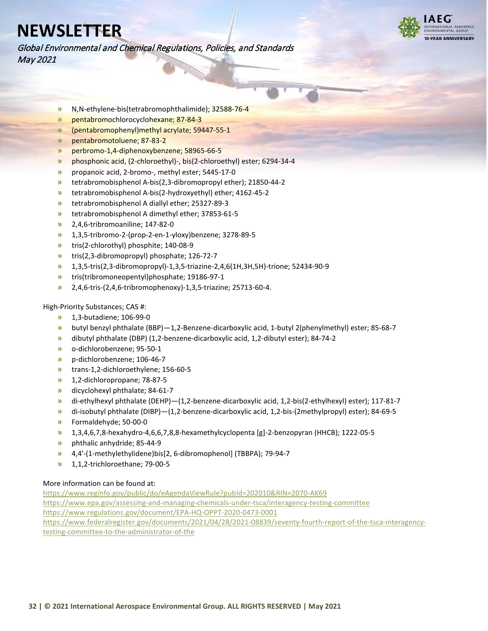**I-VEAR ANNIVERSARY** 

Global Environmental and Chemical Regulations, Policies, and Standards May 2021

- **»** N,N-ethylene-bis(tetrabromophthalimide); 32588-76-4
- **»** pentabromochlorocyclohexane; 87-84-3
- **»** (pentabromophenyl)methyl acrylate; 59447-55-1
- **»** pentabromotoluene; 87-83-2
- **»** perbromo-1,4-diphenoxybenzene; 58965-66-5
- **»** phosphonic acid, (2-chloroethyl)-, bis(2-chloroethyl) ester; 6294-34-4
- **»** propanoic acid, 2-bromo-, methyl ester; 5445-17-0
- **»** tetrabromobisphenol A-bis(2,3-dibromopropyl ether); 21850-44-2
- **»** tetrabromobisphenol A-bis(2-hydroxyethyl) ether; 4162-45-2
- **»** tetrabromobisphenol A diallyl ether; 25327-89-3
- **»** tetrabromobisphenol A dimethyl ether; 37853-61-5
- **»** 2,4,6-tribromoaniline; 147-82-0
- **»** 1,3,5-tribromo-2-(prop-2-en-1-yloxy)benzene; 3278-89-5
- **»** tris(2-chlorothyl) phosphite; 140-08-9
- **»** tris(2,3-dibromopropyl) phosphate; 126-72-7
- **»** 1,3,5-tris(2,3-dibromopropyl)-1,3,5-triazine-2,4,6(1H,3H,5H)-trione; 52434-90-9
- **»** tris(tribromoneopentyl)phosphate; 19186-97-1
- **»** 2,4,6-tris-(2,4,6-tribromophenoxy)-1,3,5-triazine; 25713-60-4.

High-Priority Substances; CAS #:

- **»** 1,3-butadiene; 106-99-0
- **»** butyl benzyl phthalate (BBP)—1,2-Benzene-dicarboxylic acid, 1-butyl 2(phenylmethyl) ester; 85-68-7
- **»** dibutyl phthalate (DBP) (1,2-benzene-dicarboxylic acid, 1,2-dibutyl ester); 84-74-2
- **»** o-dichlorobenzene; 95-50-1
- **»** p-dichlorobenzene; 106-46-7
- **»** trans-1,2-dichloroethylene; 156-60-5
- **»** 1,2-dichloropropane; 78-87-5
- **»** dicyclohexyl phthalate; 84-61-7
- **»** di-ethylhexyl phthalate (DEHP)—(1,2-benzene-dicarboxylic acid, 1,2-bis(2-ethylhexyl) ester); 117-81-7
- **»** di-isobutyl phthalate (DIBP)—(1,2-benzene-dicarboxylic acid, 1,2-bis-(2methylpropyl) ester); 84-69-5
- **»** Formaldehyde; 50-00-0
- **»** 1,3,4,6,7,8-hexahydro-4,6,6,7,8,8-hexamethylcyclopenta [g]-2-benzopyran (HHCB); 1222-05-5
- **»** phthalic anhydride; 85-44-9
- **»** 4,4′-(1-methylethylidene)bis[2, 6-dibromophenol] (TBBPA); 79-94-7
- **»** 1,1,2-trichloroethane; 79-00-5

#### More information can be found at:

<https://www.reginfo.gov/public/do/eAgendaViewRule?pubId=202010&RIN=2070-AK69> <https://www.epa.gov/assessing-and-managing-chemicals-under-tsca/interagency-testing-committee> <https://www.regulations.gov/document/EPA-HQ-OPPT-2020-0473-0001> [https://www.federalregister.gov/documents/2021/04/28/2021-08839/seventy-fourth-report-of-the-tsca-interagency](https://www.federalregister.gov/documents/2021/04/28/2021-08839/seventy-fourth-report-of-the-tsca-interagency-testing-committee-to-the-administrator-of-the)[testing-committee-to-the-administrator-of-the](https://www.federalregister.gov/documents/2021/04/28/2021-08839/seventy-fourth-report-of-the-tsca-interagency-testing-committee-to-the-administrator-of-the)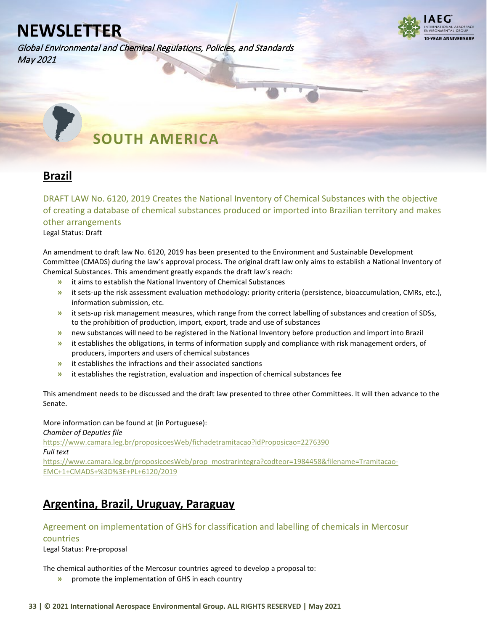Global Environmental and Chemical Regulations, Policies, and Standards May 2021

![](_page_32_Picture_2.jpeg)

<span id="page-32-0"></span> **SOUTH AMERICA** 

## <span id="page-32-1"></span>**Brazil**

<span id="page-32-2"></span>DRAFT LAW No. 6120, 2019 Creates the National Inventory of Chemical Substances with the objective of creating a database of chemical substances produced or imported into Brazilian territory and makes other arrangements

Legal Status: Draft

An amendment to draft law No. 6120, 2019 has been presented to the Environment and Sustainable Development Committee (CMADS) during the law's approval process. The original draft law only aims to establish a National Inventory of Chemical Substances. This amendment greatly expands the draft law's reach:

- **»** it aims to establish the National Inventory of Chemical Substances
- **»** it sets-up the risk assessment evaluation methodology: priority criteria (persistence, bioaccumulation, CMRs, etc.), information submission, etc.
- **»** it sets-up risk management measures, which range from the correct labelling of substances and creation of SDSs, to the prohibition of production, import, export, trade and use of substances
- **»** new substances will need to be registered in the National Inventory before production and import into Brazil
- **»** it establishes the obligations, in terms of information supply and compliance with risk management orders, of producers, importers and users of chemical substances
- **»** it establishes the infractions and their associated sanctions
- **»** it establishes the registration, evaluation and inspection of chemical substances fee

This amendment needs to be discussed and the draft law presented to three other Committees. It will then advance to the Senate.

More information can be found at (in Portuguese): *Chamber of Deputies file* <https://www.camara.leg.br/proposicoesWeb/fichadetramitacao?idProposicao=2276390> *Full text* [https://www.camara.leg.br/proposicoesWeb/prop\\_mostrarintegra?codteor=1984458&filename=Tramitacao-](https://www.camara.leg.br/proposicoesWeb/prop_mostrarintegra?codteor=1984458&filename=Tramitacao-EMC+1+CMADS+%3D%3E+PL+6120/2019)[EMC+1+CMADS+%3D%3E+PL+6120/2019](https://www.camara.leg.br/proposicoesWeb/prop_mostrarintegra?codteor=1984458&filename=Tramitacao-EMC+1+CMADS+%3D%3E+PL+6120/2019)

## <span id="page-32-3"></span>**Argentina, Brazil, Uruguay, Paraguay**

### <span id="page-32-4"></span>Agreement on implementation of GHS for classification and labelling of chemicals in Mercosur

countries

Legal Status: Pre-proposal

The chemical authorities of the Mercosur countries agreed to develop a proposal to:

**»** promote the implementation of GHS in each country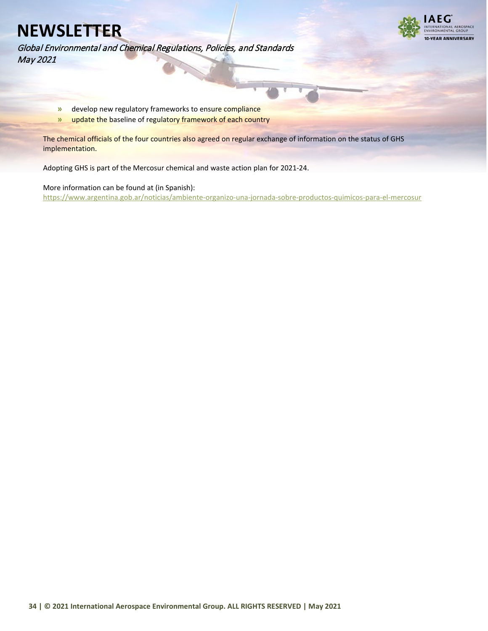Global Environmental and Chemical Regulations, Policies, and Standards May 2021

![](_page_33_Picture_2.jpeg)

**»** develop new regulatory frameworks to ensure compliance

**»** update the baseline of regulatory framework of each country

The chemical officials of the four countries also agreed on regular exchange of information on the status of GHS implementation.

Adopting GHS is part of the Mercosur chemical and waste action plan for 2021-24.

More information can be found at (in Spanish): <https://www.argentina.gob.ar/noticias/ambiente-organizo-una-jornada-sobre-productos-quimicos-para-el-mercosur>